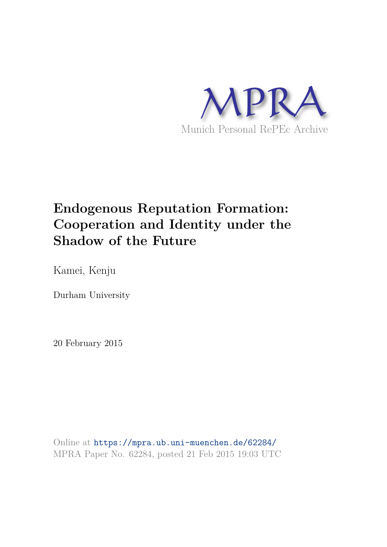

# **Endogenous Reputation Formation: Cooperation and Identity under the Shadow of the Future**

Kamei, Kenju

Durham University

20 February 2015

Online at https://mpra.ub.uni-muenchen.de/62284/ MPRA Paper No. 62284, posted 21 Feb 2015 19:03 UTC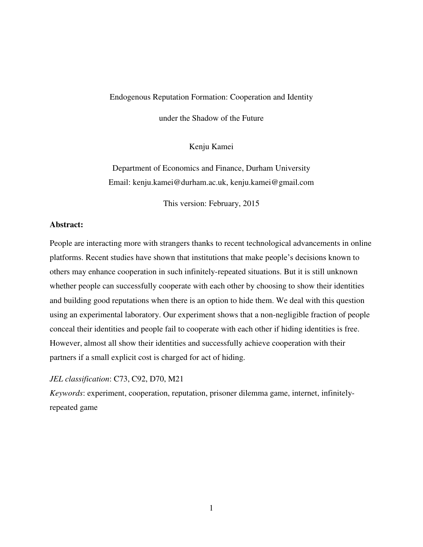#### Endogenous Reputation Formation: Cooperation and Identity

under the Shadow of the Future

Kenju Kamei

Department of Economics and Finance, Durham University Email: kenju.kamei@durham.ac.uk, kenju.kamei@gmail.com

This version: February, 2015

#### **Abstract:**

People are interacting more with strangers thanks to recent technological advancements in online platforms. Recent studies have shown that institutions that make people's decisions known to others may enhance cooperation in such infinitely-repeated situations. But it is still unknown whether people can successfully cooperate with each other by choosing to show their identities and building good reputations when there is an option to hide them. We deal with this question using an experimental laboratory. Our experiment shows that a non-negligible fraction of people conceal their identities and people fail to cooperate with each other if hiding identities is free. However, almost all show their identities and successfully achieve cooperation with their partners if a small explicit cost is charged for act of hiding.

#### *JEL classification*: C73, C92, D70, M21

*Keywords*: experiment, cooperation, reputation, prisoner dilemma game, internet, infinitelyrepeated game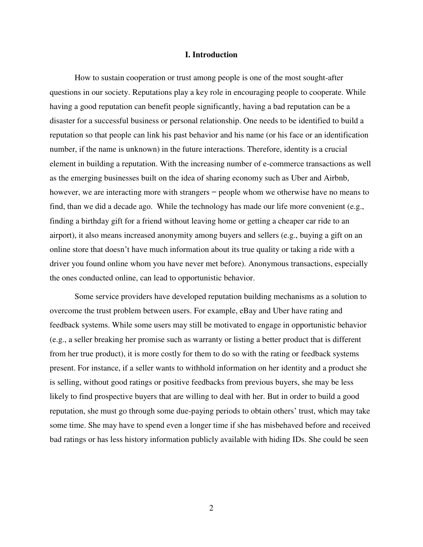#### **I. Introduction**

How to sustain cooperation or trust among people is one of the most sought-after questions in our society. Reputations play a key role in encouraging people to cooperate. While having a good reputation can benefit people significantly, having a bad reputation can be a disaster for a successful business or personal relationship. One needs to be identified to build a reputation so that people can link his past behavior and his name (or his face or an identification number, if the name is unknown) in the future interactions. Therefore, identity is a crucial element in building a reputation. With the increasing number of e-commerce transactions as well as the emerging businesses built on the idea of sharing economy such as Uber and Airbnb, however, we are interacting more with strangers **−** people whom we otherwise have no means to find, than we did a decade ago. While the technology has made our life more convenient (e.g., finding a birthday gift for a friend without leaving home or getting a cheaper car ride to an airport), it also means increased anonymity among buyers and sellers (e.g., buying a gift on an online store that doesn't have much information about its true quality or taking a ride with a driver you found online whom you have never met before). Anonymous transactions, especially the ones conducted online, can lead to opportunistic behavior.

Some service providers have developed reputation building mechanisms as a solution to overcome the trust problem between users. For example, eBay and Uber have rating and feedback systems. While some users may still be motivated to engage in opportunistic behavior (e.g., a seller breaking her promise such as warranty or listing a better product that is different from her true product), it is more costly for them to do so with the rating or feedback systems present. For instance, if a seller wants to withhold information on her identity and a product she is selling, without good ratings or positive feedbacks from previous buyers, she may be less likely to find prospective buyers that are willing to deal with her. But in order to build a good reputation, she must go through some due-paying periods to obtain others' trust, which may take some time. She may have to spend even a longer time if she has misbehaved before and received bad ratings or has less history information publicly available with hiding IDs. She could be seen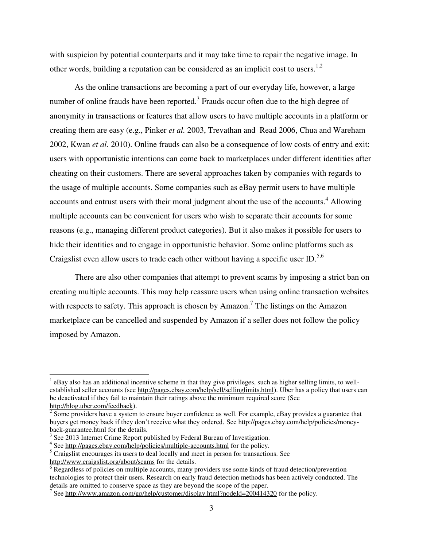with suspicion by potential counterparts and it may take time to repair the negative image. In other words, building a reputation can be considered as an implicit cost to users.<sup>1,2</sup>

As the online transactions are becoming a part of our everyday life, however, a large number of online frauds have been reported.<sup>3</sup> Frauds occur often due to the high degree of anonymity in transactions or features that allow users to have multiple accounts in a platform or creating them are easy (e.g., Pinker *et al.* 2003, Trevathan and Read 2006, Chua and Wareham 2002, Kwan *et al.* 2010). Online frauds can also be a consequence of low costs of entry and exit: users with opportunistic intentions can come back to marketplaces under different identities after cheating on their customers. There are several approaches taken by companies with regards to the usage of multiple accounts. Some companies such as eBay permit users to have multiple accounts and entrust users with their moral judgment about the use of the accounts.<sup>4</sup> Allowing multiple accounts can be convenient for users who wish to separate their accounts for some reasons (e.g., managing different product categories). But it also makes it possible for users to hide their identities and to engage in opportunistic behavior. Some online platforms such as Craigslist even allow users to trade each other without having a specific user ID.<sup>5,6</sup>

There are also other companies that attempt to prevent scams by imposing a strict ban on creating multiple accounts. This may help reassure users when using online transaction websites with respects to safety. This approach is chosen by Amazon.<sup>7</sup> The listings on the Amazon marketplace can be cancelled and suspended by Amazon if a seller does not follow the policy imposed by Amazon.

l

 $<sup>1</sup>$  eBay also has an additional incentive scheme in that they give privileges, such as higher selling limits, to well-</sup> established seller accounts (see http://pages.ebay.com/help/sell/sellinglimits.html). Uber has a policy that users can be deactivated if they fail to maintain their ratings above the minimum required score (See http://blog.uber.com/feedback).

 $2^{2}$  Some providers have a system to ensure buyer confidence as well. For example, eBay provides a guarantee that buyers get money back if they don't receive what they ordered. See http://pages.ebay.com/help/policies/moneyback-guarantee.html for the details.

<sup>&</sup>lt;sup>3</sup> See 2013 Internet Crime Report published by Federal Bureau of Investigation.

<sup>&</sup>lt;sup>4</sup> See http://pages.ebay.com/help/policies/multiple-accounts.html for the policy.

<sup>&</sup>lt;sup>5</sup> Craigslist encourages its users to deal locally and meet in person for transactions. See http://www.craigslist.org/about/scams for the details.

<sup>&</sup>lt;sup>6</sup> Regardless of policies on multiple accounts, many providers use some kinds of fraud detection/prevention technologies to protect their users. Research on early fraud detection methods has been actively conducted. The details are omitted to conserve space as they are beyond the scope of the paper.

<sup>&</sup>lt;sup>7</sup> See http://www.amazon.com/gp/help/customer/display.html?nodeId=200414320 for the policy.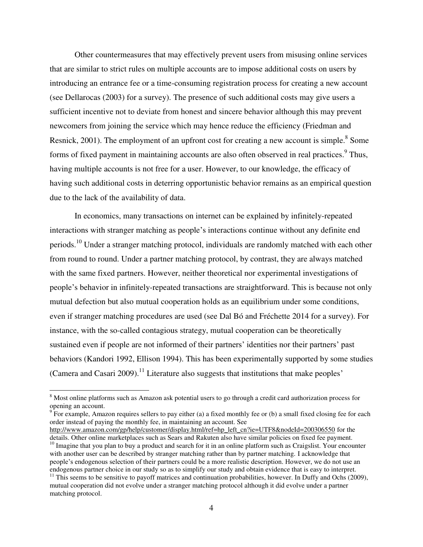Other countermeasures that may effectively prevent users from misusing online services that are similar to strict rules on multiple accounts are to impose additional costs on users by introducing an entrance fee or a time-consuming registration process for creating a new account (see Dellarocas (2003) for a survey). The presence of such additional costs may give users a sufficient incentive not to deviate from honest and sincere behavior although this may prevent newcomers from joining the service which may hence reduce the efficiency (Friedman and Resnick, 2001). The employment of an upfront cost for creating a new account is simple.<sup>8</sup> Some forms of fixed payment in maintaining accounts are also often observed in real practices.<sup>9</sup> Thus, having multiple accounts is not free for a user. However, to our knowledge, the efficacy of having such additional costs in deterring opportunistic behavior remains as an empirical question due to the lack of the availability of data.

In economics, many transactions on internet can be explained by infinitely-repeated interactions with stranger matching as people's interactions continue without any definite end periods.<sup>10</sup> Under a stranger matching protocol, individuals are randomly matched with each other from round to round. Under a partner matching protocol, by contrast, they are always matched with the same fixed partners. However, neither theoretical nor experimental investigations of people's behavior in infinitely-repeated transactions are straightforward. This is because not only mutual defection but also mutual cooperation holds as an equilibrium under some conditions, even if stranger matching procedures are used (see Dal Bó and Fréchette 2014 for a survey). For instance, with the so-called contagious strategy, mutual cooperation can be theoretically sustained even if people are not informed of their partners' identities nor their partners' past behaviors (Kandori 1992, Ellison 1994). This has been experimentally supported by some studies (Camera and Casari 2009).<sup>11</sup> Literature also suggests that institutions that make peoples'

l

 $9^9$  For example, Amazon requires sellers to pay either (a) a fixed monthly fee or (b) a small fixed closing fee for each order instead of paying the monthly fee, in maintaining an account. See

<sup>&</sup>lt;sup>8</sup> Most online platforms such as Amazon ask potential users to go through a credit card authorization process for opening an account.

http://www.amazon.com/gp/help/customer/display.html/ref=hp\_left\_cn?ie=UTF8&nodeId=200306550 for the details. Other online marketplaces such as Sears and Rakuten also have similar policies on fixed fee payment.

 $10$  Imagine that you plan to buy a product and search for it in an online platform such as Craigslist. Your encounter with another user can be described by stranger matching rather than by partner matching. I acknowledge that people's endogenous selection of their partners could be a more realistic description. However, we do not use an endogenous partner choice in our study so as to simplify our study and obtain evidence that is easy to interpret.

 $11$  This seems to be sensitive to payoff matrices and continuation probabilities, however. In Duffy and Ochs (2009), mutual cooperation did not evolve under a stranger matching protocol although it did evolve under a partner matching protocol.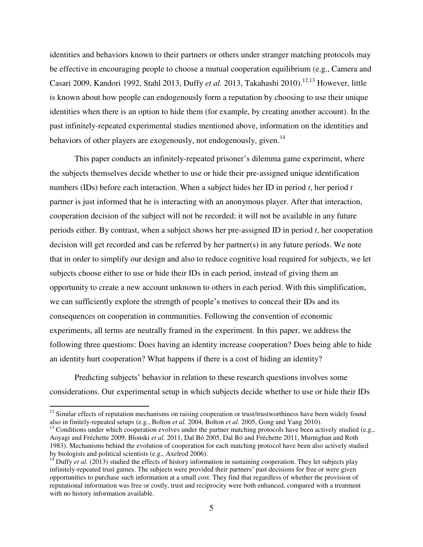identities and behaviors known to their partners or others under stranger matching protocols may be effective in encouraging people to choose a mutual cooperation equilibrium (e.g., Camera and Casari 2009, Kandori 1992, Stahl 2013, Duffy *et al.* 2013, Takahashi 2010).<sup>12,13</sup> However, little is known about how people can endogenously form a reputation by choosing to use their unique identities when there is an option to hide them (for example, by creating another account). In the past infinitely-repeated experimental studies mentioned above, information on the identities and behaviors of other players are exogenously, not endogenously, given.<sup>14</sup>

This paper conducts an infinitely-repeated prisoner's dilemma game experiment, where the subjects themselves decide whether to use or hide their pre-assigned unique identification numbers (IDs) before each interaction. When a subject hides her ID in period *t*, her period *t* partner is just informed that he is interacting with an anonymous player. After that interaction, cooperation decision of the subject will not be recorded; it will not be available in any future periods either. By contrast, when a subject shows her pre-assigned ID in period *t*, her cooperation decision will get recorded and can be referred by her partner(s) in any future periods. We note that in order to simplify our design and also to reduce cognitive load required for subjects, we let subjects choose either to use or hide their IDs in each period, instead of giving them an opportunity to create a new account unknown to others in each period. With this simplification, we can sufficiently explore the strength of people's motives to conceal their IDs and its consequences on cooperation in communities. Following the convention of economic experiments, all terms are neutrally framed in the experiment. In this paper, we address the following three questions: Does having an identity increase cooperation? Does being able to hide an identity hurt cooperation? What happens if there is a cost of hiding an identity?

Predicting subjects' behavior in relation to these research questions involves some considerations. Our experimental setup in which subjects decide whether to use or hide their IDs

 $\overline{a}$ 

 $12$  Similar effects of reputation mechanisms on raising cooperation or trust/trustworthiness have been widely found also in finitely-repeated setups (e.g., Bolton *et al.* 2004, Bolton *et al.* 2005, Gong and Yang 2010).

<sup>&</sup>lt;sup>13</sup> Conditions under which cooperation evolves under the partner matching protocols have been actively studied (e.g., Aoyagi and Fréchette 2009, Blonski *et al.* 2011, Dal Bó 2005, Dal Bó and Fréchette 2011, Murnighan and Roth 1983). Mechanisms behind the evolution of cooperation for each matching protocol have been also actively studied by biologists and political scientists (e.g., Axelrod 2006).

<sup>&</sup>lt;sup>14</sup> Duffy *et al.* (2013) studied the effects of history information in sustaining cooperation. They let subjects play infinitely-repeated trust games. The subjects were provided their partners' past decisions for free or were given opportunities to purchase such information at a small cost. They find that regardless of whether the provision of reputational information was free or costly, trust and reciprocity were both enhanced, compared with a treatment with no history information available.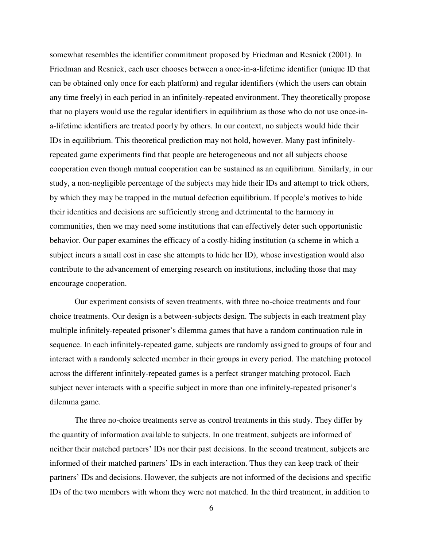somewhat resembles the identifier commitment proposed by Friedman and Resnick (2001). In Friedman and Resnick, each user chooses between a once-in-a-lifetime identifier (unique ID that can be obtained only once for each platform) and regular identifiers (which the users can obtain any time freely) in each period in an infinitely-repeated environment. They theoretically propose that no players would use the regular identifiers in equilibrium as those who do not use once-ina-lifetime identifiers are treated poorly by others. In our context, no subjects would hide their IDs in equilibrium. This theoretical prediction may not hold, however. Many past infinitelyrepeated game experiments find that people are heterogeneous and not all subjects choose cooperation even though mutual cooperation can be sustained as an equilibrium. Similarly, in our study, a non-negligible percentage of the subjects may hide their IDs and attempt to trick others, by which they may be trapped in the mutual defection equilibrium. If people's motives to hide their identities and decisions are sufficiently strong and detrimental to the harmony in communities, then we may need some institutions that can effectively deter such opportunistic behavior. Our paper examines the efficacy of a costly-hiding institution (a scheme in which a subject incurs a small cost in case she attempts to hide her ID), whose investigation would also contribute to the advancement of emerging research on institutions, including those that may encourage cooperation.

Our experiment consists of seven treatments, with three no-choice treatments and four choice treatments. Our design is a between-subjects design. The subjects in each treatment play multiple infinitely-repeated prisoner's dilemma games that have a random continuation rule in sequence. In each infinitely-repeated game, subjects are randomly assigned to groups of four and interact with a randomly selected member in their groups in every period. The matching protocol across the different infinitely-repeated games is a perfect stranger matching protocol. Each subject never interacts with a specific subject in more than one infinitely-repeated prisoner's dilemma game.

The three no-choice treatments serve as control treatments in this study. They differ by the quantity of information available to subjects. In one treatment, subjects are informed of neither their matched partners' IDs nor their past decisions. In the second treatment, subjects are informed of their matched partners' IDs in each interaction. Thus they can keep track of their partners' IDs and decisions. However, the subjects are not informed of the decisions and specific IDs of the two members with whom they were not matched. In the third treatment, in addition to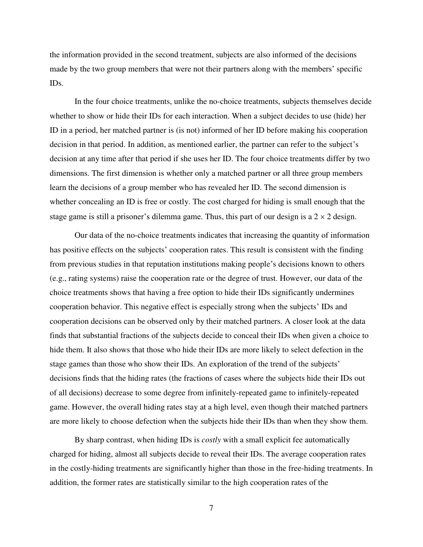the information provided in the second treatment, subjects are also informed of the decisions made by the two group members that were not their partners along with the members' specific IDs.

In the four choice treatments, unlike the no-choice treatments, subjects themselves decide whether to show or hide their IDs for each interaction. When a subject decides to use (hide) her ID in a period, her matched partner is (is not) informed of her ID before making his cooperation decision in that period. In addition, as mentioned earlier, the partner can refer to the subject's decision at any time after that period if she uses her ID. The four choice treatments differ by two dimensions. The first dimension is whether only a matched partner or all three group members learn the decisions of a group member who has revealed her ID. The second dimension is whether concealing an ID is free or costly. The cost charged for hiding is small enough that the stage game is still a prisoner's dilemma game. Thus, this part of our design is a  $2 \times 2$  design.

Our data of the no-choice treatments indicates that increasing the quantity of information has positive effects on the subjects' cooperation rates. This result is consistent with the finding from previous studies in that reputation institutions making people's decisions known to others (e.g., rating systems) raise the cooperation rate or the degree of trust. However, our data of the choice treatments shows that having a free option to hide their IDs significantly undermines cooperation behavior. This negative effect is especially strong when the subjects' IDs and cooperation decisions can be observed only by their matched partners. A closer look at the data finds that substantial fractions of the subjects decide to conceal their IDs when given a choice to hide them. It also shows that those who hide their IDs are more likely to select defection in the stage games than those who show their IDs. An exploration of the trend of the subjects' decisions finds that the hiding rates (the fractions of cases where the subjects hide their IDs out of all decisions) decrease to some degree from infinitely-repeated game to infinitely-repeated game. However, the overall hiding rates stay at a high level, even though their matched partners are more likely to choose defection when the subjects hide their IDs than when they show them.

By sharp contrast, when hiding IDs is *costly* with a small explicit fee automatically charged for hiding, almost all subjects decide to reveal their IDs. The average cooperation rates in the costly-hiding treatments are significantly higher than those in the free-hiding treatments. In addition, the former rates are statistically similar to the high cooperation rates of the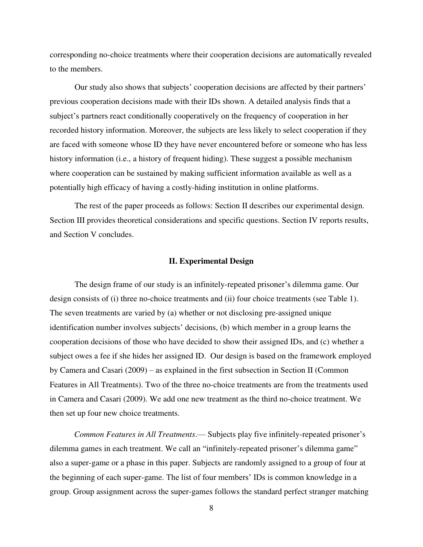corresponding no-choice treatments where their cooperation decisions are automatically revealed to the members.

Our study also shows that subjects' cooperation decisions are affected by their partners' previous cooperation decisions made with their IDs shown. A detailed analysis finds that a subject's partners react conditionally cooperatively on the frequency of cooperation in her recorded history information. Moreover, the subjects are less likely to select cooperation if they are faced with someone whose ID they have never encountered before or someone who has less history information (i.e., a history of frequent hiding). These suggest a possible mechanism where cooperation can be sustained by making sufficient information available as well as a potentially high efficacy of having a costly-hiding institution in online platforms.

The rest of the paper proceeds as follows: Section II describes our experimental design. Section III provides theoretical considerations and specific questions. Section IV reports results, and Section V concludes.

#### **II. Experimental Design**

The design frame of our study is an infinitely-repeated prisoner's dilemma game. Our design consists of (i) three no-choice treatments and (ii) four choice treatments (see Table 1). The seven treatments are varied by (a) whether or not disclosing pre-assigned unique identification number involves subjects' decisions, (b) which member in a group learns the cooperation decisions of those who have decided to show their assigned IDs, and (c) whether a subject owes a fee if she hides her assigned ID. Our design is based on the framework employed by Camera and Casari (2009) – as explained in the first subsection in Section II (Common Features in All Treatments). Two of the three no-choice treatments are from the treatments used in Camera and Casari (2009). We add one new treatment as the third no-choice treatment. We then set up four new choice treatments.

*Common Features in All Treatments*.— Subjects play five infinitely-repeated prisoner's dilemma games in each treatment. We call an "infinitely-repeated prisoner's dilemma game" also a super-game or a phase in this paper. Subjects are randomly assigned to a group of four at the beginning of each super-game. The list of four members' IDs is common knowledge in a group. Group assignment across the super-games follows the standard perfect stranger matching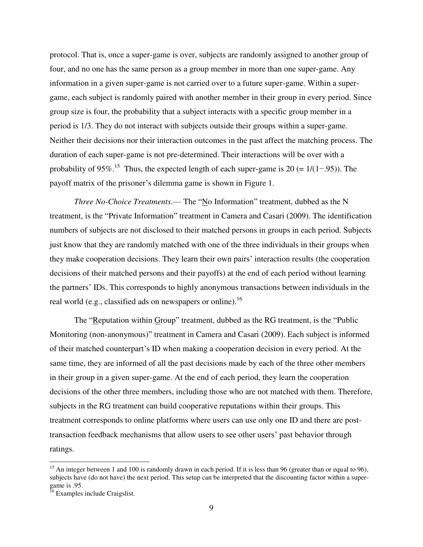protocol. That is, once a super-game is over, subjects are randomly assigned to another group of four, and no one has the same person as a group member in more than one super-game. Any information in a given super-game is not carried over to a future super-game. Within a supergame, each subject is randomly paired with another member in their group in every period. Since group size is four, the probability that a subject interacts with a specific group member in a period is 1/3. They do not interact with subjects outside their groups within a super-game. Neither their decisions nor their interaction outcomes in the past affect the matching process. The duration of each super-game is not pre-determined. Their interactions will be over with a probability of 95%.<sup>15</sup> Thus, the expected length of each super-game is 20 (=  $1/(1-.95)$ ). The payoff matrix of the prisoner's dilemma game is shown in Figure 1.

*Three No-Choice Treatments*.— The "No Information" treatment, dubbed as the N treatment, is the "Private Information" treatment in Camera and Casari (2009). The identification numbers of subjects are not disclosed to their matched persons in groups in each period. Subjects just know that they are randomly matched with one of the three individuals in their groups when they make cooperation decisions. They learn their own pairs' interaction results (the cooperation decisions of their matched persons and their payoffs) at the end of each period without learning the partners' IDs. This corresponds to highly anonymous transactions between individuals in the real world (e.g., classified ads on newspapers or online).<sup>16</sup>

The "Reputation within Group" treatment, dubbed as the RG treatment, is the "Public Monitoring (non-anonymous)" treatment in Camera and Casari (2009). Each subject is informed of their matched counterpart's ID when making a cooperation decision in every period. At the same time, they are informed of all the past decisions made by each of the three other members in their group in a given super-game. At the end of each period, they learn the cooperation decisions of the other three members, including those who are not matched with them. Therefore, subjects in the RG treatment can build cooperative reputations within their groups. This treatment corresponds to online platforms where users can use only one ID and there are posttransaction feedback mechanisms that allow users to see other users' past behavior through ratings.

 $\overline{a}$ 

<sup>&</sup>lt;sup>15</sup> An integer between 1 and 100 is randomly drawn in each period. If it is less than 96 (greater than or equal to 96), subjects have (do not have) the next period. This setup can be interpreted that the discounting factor within a supergame is .95.

<sup>&</sup>lt;sup>16</sup> Examples include Craigslist.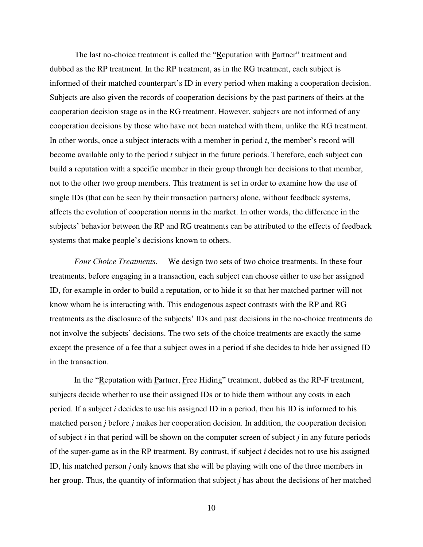The last no-choice treatment is called the "Reputation with Partner" treatment and dubbed as the RP treatment. In the RP treatment, as in the RG treatment, each subject is informed of their matched counterpart's ID in every period when making a cooperation decision. Subjects are also given the records of cooperation decisions by the past partners of theirs at the cooperation decision stage as in the RG treatment. However, subjects are not informed of any cooperation decisions by those who have not been matched with them, unlike the RG treatment. In other words, once a subject interacts with a member in period *t*, the member's record will become available only to the period *t* subject in the future periods. Therefore, each subject can build a reputation with a specific member in their group through her decisions to that member, not to the other two group members. This treatment is set in order to examine how the use of single IDs (that can be seen by their transaction partners) alone, without feedback systems, affects the evolution of cooperation norms in the market. In other words, the difference in the subjects' behavior between the RP and RG treatments can be attributed to the effects of feedback systems that make people's decisions known to others.

*Four Choice Treatments*.— We design two sets of two choice treatments. In these four treatments, before engaging in a transaction, each subject can choose either to use her assigned ID, for example in order to build a reputation, or to hide it so that her matched partner will not know whom he is interacting with. This endogenous aspect contrasts with the RP and RG treatments as the disclosure of the subjects' IDs and past decisions in the no-choice treatments do not involve the subjects' decisions. The two sets of the choice treatments are exactly the same except the presence of a fee that a subject owes in a period if she decides to hide her assigned ID in the transaction.

In the "Reputation with Partner, Free Hiding" treatment, dubbed as the RP-F treatment, subjects decide whether to use their assigned IDs or to hide them without any costs in each period. If a subject *i* decides to use his assigned ID in a period, then his ID is informed to his matched person *j* before *j* makes her cooperation decision. In addition, the cooperation decision of subject *i* in that period will be shown on the computer screen of subject *j* in any future periods of the super-game as in the RP treatment. By contrast, if subject *i* decides not to use his assigned ID, his matched person *j* only knows that she will be playing with one of the three members in her group. Thus, the quantity of information that subject *j* has about the decisions of her matched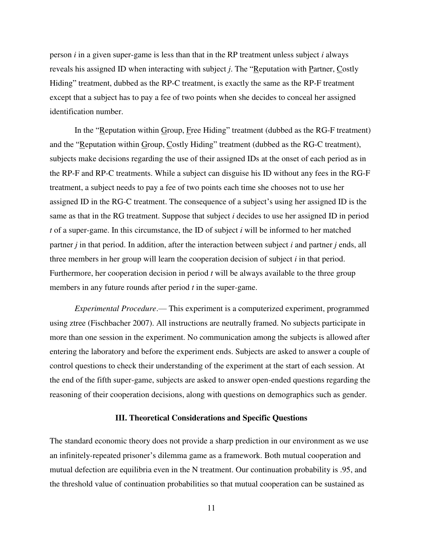person *i* in a given super-game is less than that in the RP treatment unless subject *i* always reveals his assigned ID when interacting with subject *j*. The "Reputation with Partner, Costly Hiding" treatment, dubbed as the RP-C treatment, is exactly the same as the RP-F treatment except that a subject has to pay a fee of two points when she decides to conceal her assigned identification number.

In the "Reputation within Group, Free Hiding" treatment (dubbed as the RG-F treatment) and the "Reputation within Group, Costly Hiding" treatment (dubbed as the RG-C treatment), subjects make decisions regarding the use of their assigned IDs at the onset of each period as in the RP-F and RP-C treatments. While a subject can disguise his ID without any fees in the RG-F treatment, a subject needs to pay a fee of two points each time she chooses not to use her assigned ID in the RG-C treatment. The consequence of a subject's using her assigned ID is the same as that in the RG treatment. Suppose that subject *i* decides to use her assigned ID in period *t* of a super-game. In this circumstance, the ID of subject *i* will be informed to her matched partner *j* in that period. In addition, after the interaction between subject *i* and partner *j* ends, all three members in her group will learn the cooperation decision of subject *i* in that period. Furthermore, her cooperation decision in period *t* will be always available to the three group members in any future rounds after period *t* in the super-game.

*Experimental Procedure*.— This experiment is a computerized experiment, programmed using ztree (Fischbacher 2007). All instructions are neutrally framed. No subjects participate in more than one session in the experiment. No communication among the subjects is allowed after entering the laboratory and before the experiment ends. Subjects are asked to answer a couple of control questions to check their understanding of the experiment at the start of each session. At the end of the fifth super-game, subjects are asked to answer open-ended questions regarding the reasoning of their cooperation decisions, along with questions on demographics such as gender.

#### **III. Theoretical Considerations and Specific Questions**

The standard economic theory does not provide a sharp prediction in our environment as we use an infinitely-repeated prisoner's dilemma game as a framework. Both mutual cooperation and mutual defection are equilibria even in the N treatment. Our continuation probability is .95, and the threshold value of continuation probabilities so that mutual cooperation can be sustained as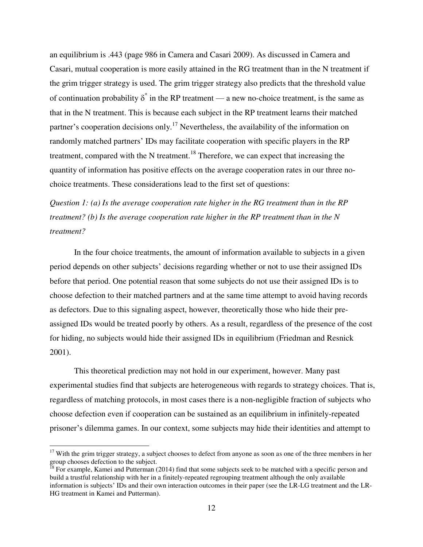an equilibrium is .443 (page 986 in Camera and Casari 2009). As discussed in Camera and Casari, mutual cooperation is more easily attained in the RG treatment than in the N treatment if the grim trigger strategy is used. The grim trigger strategy also predicts that the threshold value of continuation probability  $\delta^*$  in the RP treatment — a new no-choice treatment, is the same as that in the N treatment. This is because each subject in the RP treatment learns their matched partner's cooperation decisions only.<sup>17</sup> Nevertheless, the availability of the information on randomly matched partners' IDs may facilitate cooperation with specific players in the RP treatment, compared with the N treatment.<sup>18</sup> Therefore, we can expect that increasing the quantity of information has positive effects on the average cooperation rates in our three nochoice treatments. These considerations lead to the first set of questions:

*Question 1: (a) Is the average cooperation rate higher in the RG treatment than in the RP treatment? (b) Is the average cooperation rate higher in the RP treatment than in the N treatment?*

In the four choice treatments, the amount of information available to subjects in a given period depends on other subjects' decisions regarding whether or not to use their assigned IDs before that period. One potential reason that some subjects do not use their assigned IDs is to choose defection to their matched partners and at the same time attempt to avoid having records as defectors. Due to this signaling aspect, however, theoretically those who hide their preassigned IDs would be treated poorly by others. As a result, regardless of the presence of the cost for hiding, no subjects would hide their assigned IDs in equilibrium (Friedman and Resnick 2001).

This theoretical prediction may not hold in our experiment, however. Many past experimental studies find that subjects are heterogeneous with regards to strategy choices. That is, regardless of matching protocols, in most cases there is a non-negligible fraction of subjects who choose defection even if cooperation can be sustained as an equilibrium in infinitely-repeated prisoner's dilemma games. In our context, some subjects may hide their identities and attempt to

 $\overline{\phantom{0}}$ 

 $17$  With the grim trigger strategy, a subject chooses to defect from anyone as soon as one of the three members in her group chooses defection to the subject.

 $^{18}$  For example, Kamei and Putterman (2014) find that some subjects seek to be matched with a specific person and build a trustful relationship with her in a finitely-repeated regrouping treatment although the only available information is subjects' IDs and their own interaction outcomes in their paper (see the LR-LG treatment and the LR-HG treatment in Kamei and Putterman).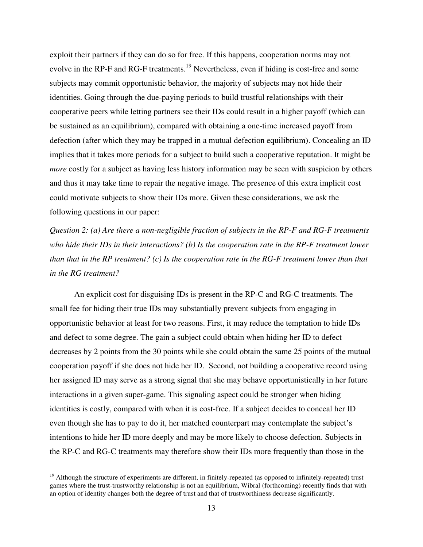exploit their partners if they can do so for free. If this happens, cooperation norms may not evolve in the RP-F and RG-F treatments.<sup>19</sup> Nevertheless, even if hiding is cost-free and some subjects may commit opportunistic behavior, the majority of subjects may not hide their identities. Going through the due-paying periods to build trustful relationships with their cooperative peers while letting partners see their IDs could result in a higher payoff (which can be sustained as an equilibrium), compared with obtaining a one-time increased payoff from defection (after which they may be trapped in a mutual defection equilibrium). Concealing an ID implies that it takes more periods for a subject to build such a cooperative reputation. It might be *more* costly for a subject as having less history information may be seen with suspicion by others and thus it may take time to repair the negative image. The presence of this extra implicit cost could motivate subjects to show their IDs more. Given these considerations, we ask the following questions in our paper:

*Question 2: (a) Are there a non-negligible fraction of subjects in the RP-F and RG-F treatments who hide their IDs in their interactions? (b) Is the cooperation rate in the RP-F treatment lower than that in the RP treatment? (c) Is the cooperation rate in the RG-F treatment lower than that in the RG treatment?* 

An explicit cost for disguising IDs is present in the RP-C and RG-C treatments. The small fee for hiding their true IDs may substantially prevent subjects from engaging in opportunistic behavior at least for two reasons. First, it may reduce the temptation to hide IDs and defect to some degree. The gain a subject could obtain when hiding her ID to defect decreases by 2 points from the 30 points while she could obtain the same 25 points of the mutual cooperation payoff if she does not hide her ID. Second, not building a cooperative record using her assigned ID may serve as a strong signal that she may behave opportunistically in her future interactions in a given super-game. This signaling aspect could be stronger when hiding identities is costly, compared with when it is cost-free. If a subject decides to conceal her ID even though she has to pay to do it, her matched counterpart may contemplate the subject's intentions to hide her ID more deeply and may be more likely to choose defection. Subjects in the RP-C and RG-C treatments may therefore show their IDs more frequently than those in the

 $19$  Although the structure of experiments are different, in finitely-repeated (as opposed to infinitely-repeated) trust games where the trust-trustworthy relationship is not an equilibrium, Wibral (forthcoming) recently finds that with an option of identity changes both the degree of trust and that of trustworthiness decrease significantly.

l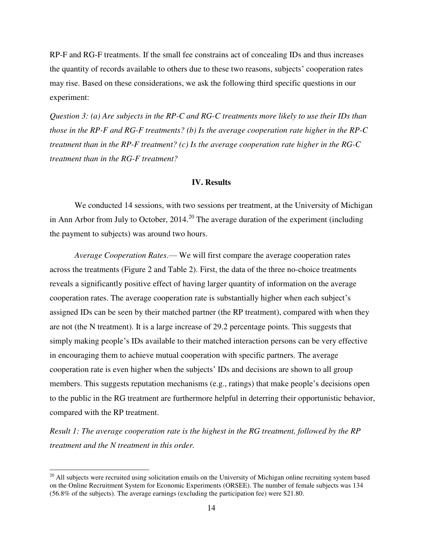RP-F and RG-F treatments. If the small fee constrains act of concealing IDs and thus increases the quantity of records available to others due to these two reasons, subjects' cooperation rates may rise. Based on these considerations, we ask the following third specific questions in our experiment:

*Question 3: (a) Are subjects in the RP-C and RG-C treatments more likely to use their IDs than those in the RP-F and RG-F treatments? (b) Is the average cooperation rate higher in the RP-C treatment than in the RP-F treatment? (c) Is the average cooperation rate higher in the RG-C treatment than in the RG-F treatment?* 

### **IV. Results**

We conducted 14 sessions, with two sessions per treatment, at the University of Michigan in Ann Arbor from July to October,  $2014$ <sup>20</sup> The average duration of the experiment (including the payment to subjects) was around two hours.

*Average Cooperation Rates*.— We will first compare the average cooperation rates across the treatments (Figure 2 and Table 2). First, the data of the three no-choice treatments reveals a significantly positive effect of having larger quantity of information on the average cooperation rates. The average cooperation rate is substantially higher when each subject's assigned IDs can be seen by their matched partner (the RP treatment), compared with when they are not (the N treatment). It is a large increase of 29.2 percentage points. This suggests that simply making people's IDs available to their matched interaction persons can be very effective in encouraging them to achieve mutual cooperation with specific partners. The average cooperation rate is even higher when the subjects' IDs and decisions are shown to all group members. This suggests reputation mechanisms (e.g., ratings) that make people's decisions open to the public in the RG treatment are furthermore helpful in deterring their opportunistic behavior, compared with the RP treatment.

*Result 1: The average cooperation rate is the highest in the RG treatment, followed by the RP treatment and the N treatment in this order.* 

l

 $20$  All subjects were recruited using solicitation emails on the University of Michigan online recruiting system based on the Online Recruitment System for Economic Experiments (ORSEE). The number of female subjects was 134 (56.8% of the subjects). The average earnings (excluding the participation fee) were \$21.80.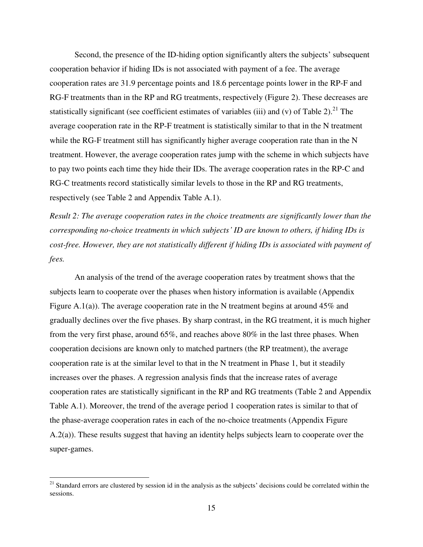Second, the presence of the ID-hiding option significantly alters the subjects' subsequent cooperation behavior if hiding IDs is not associated with payment of a fee. The average cooperation rates are 31.9 percentage points and 18.6 percentage points lower in the RP-F and RG-F treatments than in the RP and RG treatments, respectively (Figure 2). These decreases are statistically significant (see coefficient estimates of variables (iii) and (v) of Table 2).<sup>21</sup> The average cooperation rate in the RP-F treatment is statistically similar to that in the N treatment while the RG-F treatment still has significantly higher average cooperation rate than in the N treatment. However, the average cooperation rates jump with the scheme in which subjects have to pay two points each time they hide their IDs. The average cooperation rates in the RP-C and RG-C treatments record statistically similar levels to those in the RP and RG treatments, respectively (see Table 2 and Appendix Table A.1).

*Result 2: The average cooperation rates in the choice treatments are significantly lower than the corresponding no-choice treatments in which subjects' ID are known to others, if hiding IDs is cost-free. However, they are not statistically different if hiding IDs is associated with payment of fees.* 

 An analysis of the trend of the average cooperation rates by treatment shows that the subjects learn to cooperate over the phases when history information is available (Appendix Figure A.1(a)). The average cooperation rate in the N treatment begins at around  $45\%$  and gradually declines over the five phases. By sharp contrast, in the RG treatment, it is much higher from the very first phase, around 65%, and reaches above 80% in the last three phases. When cooperation decisions are known only to matched partners (the RP treatment), the average cooperation rate is at the similar level to that in the N treatment in Phase 1, but it steadily increases over the phases. A regression analysis finds that the increase rates of average cooperation rates are statistically significant in the RP and RG treatments (Table 2 and Appendix Table A.1). Moreover, the trend of the average period 1 cooperation rates is similar to that of the phase-average cooperation rates in each of the no-choice treatments (Appendix Figure A.2(a)). These results suggest that having an identity helps subjects learn to cooperate over the super-games.

 $\overline{a}$ 

<sup>&</sup>lt;sup>21</sup> Standard errors are clustered by session id in the analysis as the subjects' decisions could be correlated within the sessions.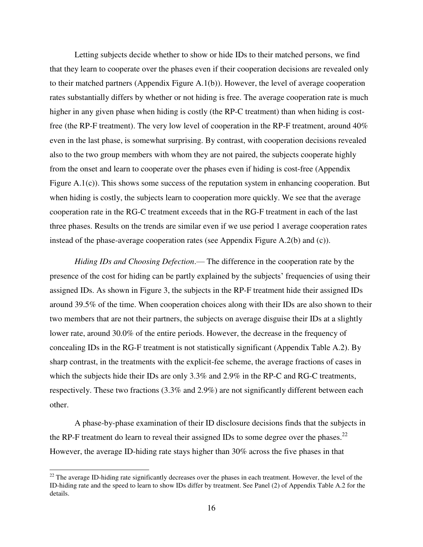Letting subjects decide whether to show or hide IDs to their matched persons, we find that they learn to cooperate over the phases even if their cooperation decisions are revealed only to their matched partners (Appendix Figure A.1(b)). However, the level of average cooperation rates substantially differs by whether or not hiding is free. The average cooperation rate is much higher in any given phase when hiding is costly (the RP-C treatment) than when hiding is costfree (the RP-F treatment). The very low level of cooperation in the RP-F treatment, around 40% even in the last phase, is somewhat surprising. By contrast, with cooperation decisions revealed also to the two group members with whom they are not paired, the subjects cooperate highly from the onset and learn to cooperate over the phases even if hiding is cost-free (Appendix Figure A.1(c)). This shows some success of the reputation system in enhancing cooperation. But when hiding is costly, the subjects learn to cooperation more quickly. We see that the average cooperation rate in the RG-C treatment exceeds that in the RG-F treatment in each of the last three phases. Results on the trends are similar even if we use period 1 average cooperation rates instead of the phase-average cooperation rates (see Appendix Figure A.2(b) and (c)).

*Hiding IDs and Choosing Defection*.— The difference in the cooperation rate by the presence of the cost for hiding can be partly explained by the subjects' frequencies of using their assigned IDs. As shown in Figure 3, the subjects in the RP-F treatment hide their assigned IDs around 39.5% of the time. When cooperation choices along with their IDs are also shown to their two members that are not their partners, the subjects on average disguise their IDs at a slightly lower rate, around 30.0% of the entire periods. However, the decrease in the frequency of concealing IDs in the RG-F treatment is not statistically significant (Appendix Table A.2). By sharp contrast, in the treatments with the explicit-fee scheme, the average fractions of cases in which the subjects hide their IDs are only 3.3% and 2.9% in the RP-C and RG-C treatments, respectively. These two fractions (3.3% and 2.9%) are not significantly different between each other.

 A phase-by-phase examination of their ID disclosure decisions finds that the subjects in the RP-F treatment do learn to reveal their assigned IDs to some degree over the phases.<sup>22</sup> However, the average ID-hiding rate stays higher than 30% across the five phases in that

l

 $22$  The average ID-hiding rate significantly decreases over the phases in each treatment. However, the level of the ID-hiding rate and the speed to learn to show IDs differ by treatment. See Panel (2) of Appendix Table A.2 for the details.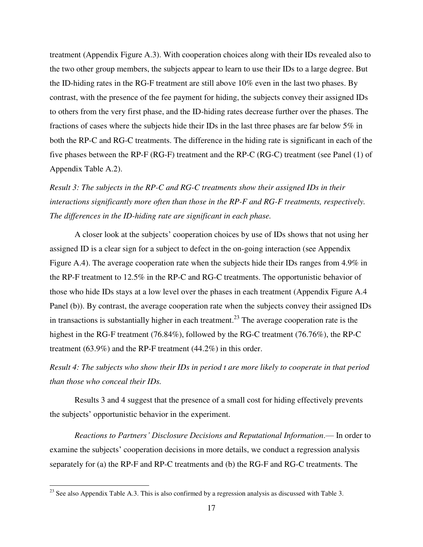treatment (Appendix Figure A.3). With cooperation choices along with their IDs revealed also to the two other group members, the subjects appear to learn to use their IDs to a large degree. But the ID-hiding rates in the RG-F treatment are still above 10% even in the last two phases. By contrast, with the presence of the fee payment for hiding, the subjects convey their assigned IDs to others from the very first phase, and the ID-hiding rates decrease further over the phases. The fractions of cases where the subjects hide their IDs in the last three phases are far below 5% in both the RP-C and RG-C treatments. The difference in the hiding rate is significant in each of the five phases between the RP-F (RG-F) treatment and the RP-C (RG-C) treatment (see Panel (1) of Appendix Table A.2).

*Result 3: The subjects in the RP-C and RG-C treatments show their assigned IDs in their interactions significantly more often than those in the RP-F and RG-F treatments, respectively. The differences in the ID-hiding rate are significant in each phase.*

 A closer look at the subjects' cooperation choices by use of IDs shows that not using her assigned ID is a clear sign for a subject to defect in the on-going interaction (see Appendix Figure A.4). The average cooperation rate when the subjects hide their IDs ranges from 4.9% in the RP-F treatment to 12.5% in the RP-C and RG-C treatments. The opportunistic behavior of those who hide IDs stays at a low level over the phases in each treatment (Appendix Figure A.4 Panel (b)). By contrast, the average cooperation rate when the subjects convey their assigned IDs in transactions is substantially higher in each treatment.<sup>23</sup> The average cooperation rate is the highest in the RG-F treatment (76.84%), followed by the RG-C treatment (76.76%), the RP-C treatment (63.9%) and the RP-F treatment (44.2%) in this order.

*Result 4: The subjects who show their IDs in period t are more likely to cooperate in that period than those who conceal their IDs.* 

Results 3 and 4 suggest that the presence of a small cost for hiding effectively prevents the subjects' opportunistic behavior in the experiment.

*Reactions to Partners' Disclosure Decisions and Reputational Information*.— In order to examine the subjects' cooperation decisions in more details, we conduct a regression analysis separately for (a) the RP-F and RP-C treatments and (b) the RG-F and RG-C treatments. The

l

 $^{23}$  See also Appendix Table A.3. This is also confirmed by a regression analysis as discussed with Table 3.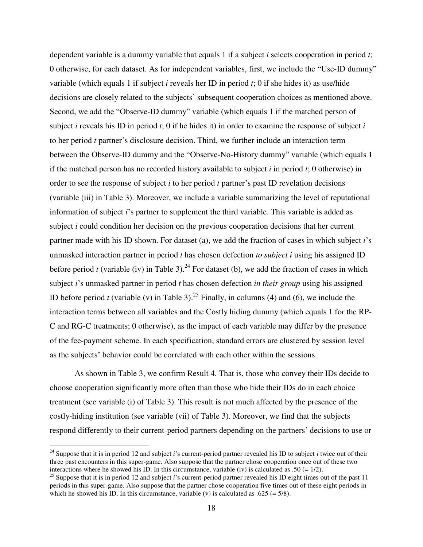dependent variable is a dummy variable that equals 1 if a subject *i* selects cooperation in period *t*; 0 otherwise, for each dataset. As for independent variables, first, we include the "Use-ID dummy" variable (which equals 1 if subject *i* reveals her ID in period *t*; 0 if she hides it) as use/hide decisions are closely related to the subjects' subsequent cooperation choices as mentioned above. Second, we add the "Observe-ID dummy" variable (which equals 1 if the matched person of subject *i* reveals his ID in period *t*; 0 if he hides it) in order to examine the response of subject *i* to her period *t* partner's disclosure decision. Third, we further include an interaction term between the Observe-ID dummy and the "Observe-No-History dummy" variable (which equals 1 if the matched person has no recorded history available to subject *i* in period *t*; 0 otherwise) in order to see the response of subject *i* to her period *t* partner's past ID revelation decisions (variable (iii) in Table 3). Moreover, we include a variable summarizing the level of reputational information of subject *i*'s partner to supplement the third variable. This variable is added as subject *i* could condition her decision on the previous cooperation decisions that her current partner made with his ID shown. For dataset (a), we add the fraction of cases in which subject *i*'s unmasked interaction partner in period *t* has chosen defection *to subject i* using his assigned ID before period *t* (variable (iv) in Table 3).<sup>24</sup> For dataset (b), we add the fraction of cases in which subject *i*'s unmasked partner in period *t* has chosen defection *in their group* using his assigned ID before period *t* (variable (v) in Table 3).<sup>25</sup> Finally, in columns (4) and (6), we include the interaction terms between all variables and the Costly hiding dummy (which equals 1 for the RP-C and RG-C treatments; 0 otherwise), as the impact of each variable may differ by the presence of the fee-payment scheme. In each specification, standard errors are clustered by session level as the subjects' behavior could be correlated with each other within the sessions.

 As shown in Table 3, we confirm Result 4. That is, those who convey their IDs decide to choose cooperation significantly more often than those who hide their IDs do in each choice treatment (see variable (i) of Table 3). This result is not much affected by the presence of the costly-hiding institution (see variable (vii) of Table 3). Moreover, we find that the subjects respond differently to their current-period partners depending on the partners' decisions to use or

 $\overline{\phantom{0}}$ 

<sup>24</sup> Suppose that it is in period 12 and subject *i*'s current-period partner revealed his ID to subject *i* twice out of their three past encounters in this super-game. Also suppose that the partner chose cooperation once out of these two interactions where he showed his ID. In this circumstance, variable (iv) is calculated as .50 (=  $1/2$ ).

<sup>&</sup>lt;sup>25</sup> Suppose that it is in period 12 and subject *i*'s current-period partner revealed his ID eight times out of the past 11 periods in this super-game. Also suppose that the partner chose cooperation five times out of these eight periods in which he showed his ID. In this circumstance, variable (v) is calculated as  $.625 (= 5/8)$ .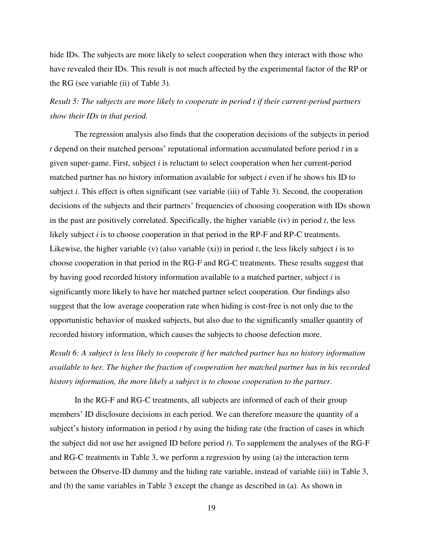hide IDs. The subjects are more likely to select cooperation when they interact with those who have revealed their IDs. This result is not much affected by the experimental factor of the RP or the RG (see variable (ii) of Table 3).

## *Result 5: The subjects are more likely to cooperate in period t if their current-period partners show their IDs in that period.*

 The regression analysis also finds that the cooperation decisions of the subjects in period *t* depend on their matched persons' reputational information accumulated before period *t* in a given super-game. First, subject *i* is reluctant to select cooperation when her current-period matched partner has no history information available for subject *i* even if he shows his ID to subject *i*. This effect is often significant (see variable (iii) of Table 3). Second, the cooperation decisions of the subjects and their partners' frequencies of choosing cooperation with IDs shown in the past are positively correlated. Specifically, the higher variable (iv) in period *t*, the less likely subject *i* is to choose cooperation in that period in the RP-F and RP-C treatments. Likewise, the higher variable (v) (also variable  $(xi)$ ) in period *t*, the less likely subject *i* is to choose cooperation in that period in the RG-F and RG-C treatments. These results suggest that by having good recorded history information available to a matched partner, subject *i* is significantly more likely to have her matched partner select cooperation. Our findings also suggest that the low average cooperation rate when hiding is cost-free is not only due to the opportunistic behavior of masked subjects, but also due to the significantly smaller quantity of recorded history information, which causes the subjects to choose defection more.

*Result 6: A subject is less likely to cooperate if her matched partner has no history information available to her. The higher the fraction of cooperation her matched partner has in his recorded history information, the more likely a subject is to choose cooperation to the partner.* 

 In the RG-F and RG-C treatments, all subjects are informed of each of their group members' ID disclosure decisions in each period. We can therefore measure the quantity of a subject's history information in period *t* by using the hiding rate (the fraction of cases in which the subject did not use her assigned ID before period *t*). To supplement the analyses of the RG-F and RG-C treatments in Table 3, we perform a regression by using (a) the interaction term between the Observe-ID dummy and the hiding rate variable, instead of variable (iii) in Table 3, and (b) the same variables in Table 3 except the change as described in (a). As shown in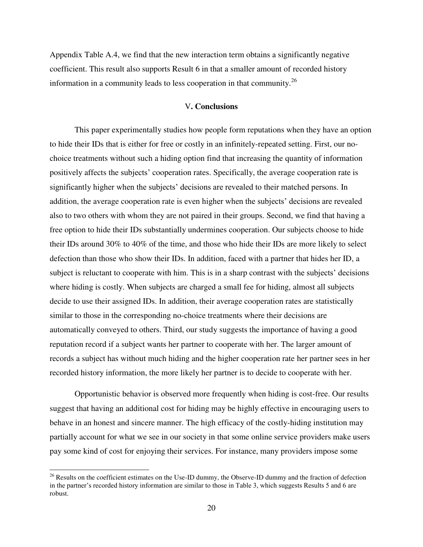Appendix Table A.4, we find that the new interaction term obtains a significantly negative coefficient. This result also supports Result 6 in that a smaller amount of recorded history information in a community leads to less cooperation in that community.<sup>26</sup>

#### V**. Conclusions**

 This paper experimentally studies how people form reputations when they have an option to hide their IDs that is either for free or costly in an infinitely-repeated setting. First, our nochoice treatments without such a hiding option find that increasing the quantity of information positively affects the subjects' cooperation rates. Specifically, the average cooperation rate is significantly higher when the subjects' decisions are revealed to their matched persons. In addition, the average cooperation rate is even higher when the subjects' decisions are revealed also to two others with whom they are not paired in their groups. Second, we find that having a free option to hide their IDs substantially undermines cooperation. Our subjects choose to hide their IDs around 30% to 40% of the time, and those who hide their IDs are more likely to select defection than those who show their IDs. In addition, faced with a partner that hides her ID, a subject is reluctant to cooperate with him. This is in a sharp contrast with the subjects' decisions where hiding is costly. When subjects are charged a small fee for hiding, almost all subjects decide to use their assigned IDs. In addition, their average cooperation rates are statistically similar to those in the corresponding no-choice treatments where their decisions are automatically conveyed to others. Third, our study suggests the importance of having a good reputation record if a subject wants her partner to cooperate with her. The larger amount of records a subject has without much hiding and the higher cooperation rate her partner sees in her recorded history information, the more likely her partner is to decide to cooperate with her.

 Opportunistic behavior is observed more frequently when hiding is cost-free. Our results suggest that having an additional cost for hiding may be highly effective in encouraging users to behave in an honest and sincere manner. The high efficacy of the costly-hiding institution may partially account for what we see in our society in that some online service providers make users pay some kind of cost for enjoying their services. For instance, many providers impose some

l

<sup>&</sup>lt;sup>26</sup> Results on the coefficient estimates on the Use-ID dummy, the Observe-ID dummy and the fraction of defection in the partner's recorded history information are similar to those in Table 3, which suggests Results 5 and 6 are robust.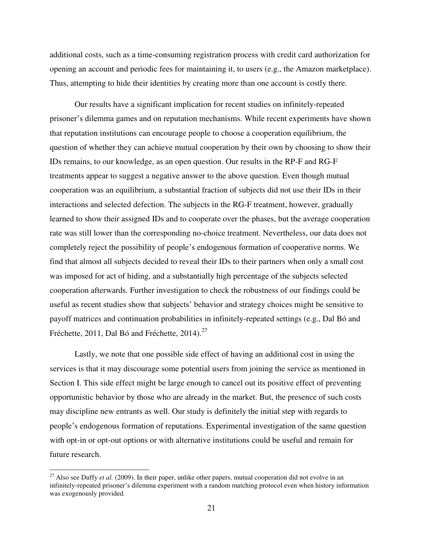additional costs, such as a time-consuming registration process with credit card authorization for opening an account and periodic fees for maintaining it, to users (e.g., the Amazon marketplace). Thus, attempting to hide their identities by creating more than one account is costly there.

 Our results have a significant implication for recent studies on infinitely-repeated prisoner's dilemma games and on reputation mechanisms. While recent experiments have shown that reputation institutions can encourage people to choose a cooperation equilibrium, the question of whether they can achieve mutual cooperation by their own by choosing to show their IDs remains, to our knowledge, as an open question. Our results in the RP-F and RG-F treatments appear to suggest a negative answer to the above question. Even though mutual cooperation was an equilibrium, a substantial fraction of subjects did not use their IDs in their interactions and selected defection. The subjects in the RG-F treatment, however, gradually learned to show their assigned IDs and to cooperate over the phases, but the average cooperation rate was still lower than the corresponding no-choice treatment. Nevertheless, our data does not completely reject the possibility of people's endogenous formation of cooperative norms. We find that almost all subjects decided to reveal their IDs to their partners when only a small cost was imposed for act of hiding, and a substantially high percentage of the subjects selected cooperation afterwards. Further investigation to check the robustness of our findings could be useful as recent studies show that subjects' behavior and strategy choices might be sensitive to payoff matrices and continuation probabilities in infinitely-repeated settings (e.g., Dal Bó and Fréchette, 2011, Dal Bó and Fréchette, 2014). $^{27}$ 

 Lastly, we note that one possible side effect of having an additional cost in using the services is that it may discourage some potential users from joining the service as mentioned in Section I. This side effect might be large enough to cancel out its positive effect of preventing opportunistic behavior by those who are already in the market. But, the presence of such costs may discipline new entrants as well. Our study is definitely the initial step with regards to people's endogenous formation of reputations. Experimental investigation of the same question with opt-in or opt-out options or with alternative institutions could be useful and remain for future research.

l

<sup>&</sup>lt;sup>27</sup> Also see Duffy *et al.* (2009). In their paper, unlike other papers, mutual cooperation did not evolve in an infinitely-repeated prisoner's dilemma experiment with a random matching protocol even when history information was exogenously provided.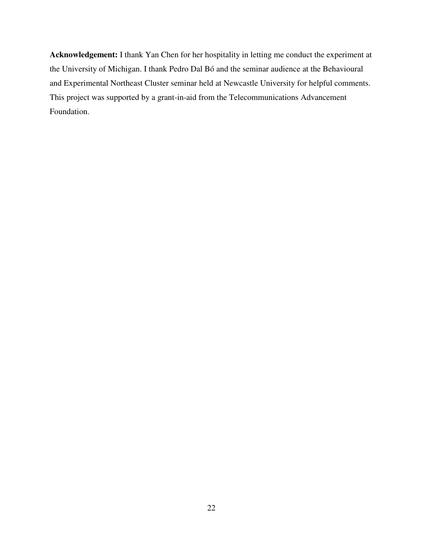**Acknowledgement:** I thank Yan Chen for her hospitality in letting me conduct the experiment at the University of Michigan. I thank Pedro Dal Bó and the seminar audience at the Behavioural and Experimental Northeast Cluster seminar held at Newcastle University for helpful comments. This project was supported by a grant-in-aid from the Telecommunications Advancement Foundation.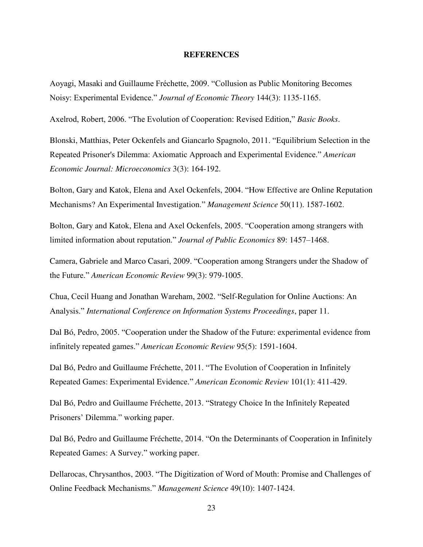#### **REFERENCES**

Aoyagi, Masaki and Guillaume Fréchette, 2009. ―Collusion as Public Monitoring Becomes Noisy: Experimental Evidence.‖ *Journal of Economic Theory* 144(3): 1135-1165.

Axelrod, Robert, 2006. "The Evolution of Cooperation: Revised Edition," *Basic Books*.

Blonski, Matthias, Peter Ockenfels and Giancarlo Spagnolo, 2011. "Equilibrium Selection in the Repeated Prisoner's Dilemma: Axiomatic Approach and Experimental Evidence.‖ *American Economic Journal: Microeconomics* 3(3): 164-192.

Bolton, Gary and Katok, Elena and Axel Ockenfels, 2004. "How Effective are Online Reputation Mechanisms? An Experimental Investigation." *Management Science* 50(11). 1587-1602.

Bolton, Gary and Katok, Elena and Axel Ockenfels, 2005. "Cooperation among strangers with limited information about reputation.‖ *Journal of Public Economics* 89: 1457–1468.

Camera, Gabriele and Marco Casari, 2009. "Cooperation among Strangers under the Shadow of the Future.‖ *American Economic Review* 99(3): 979-1005.

Chua, Cecil Huang and Jonathan Wareham, 2002. "Self-Regulation for Online Auctions: An Analysis.‖ *International Conference on Information Systems Proceedings*, paper 11.

Dal Bó, Pedro, 2005. "Cooperation under the Shadow of the Future: experimental evidence from infinitely repeated games." *American Economic Review* 95(5): 1591-1604.

Dal Bó, Pedro and Guillaume Fréchette, 2011. "The Evolution of Cooperation in Infinitely Repeated Games: Experimental Evidence.‖ *American Economic Review* 101(1): 411-429.

Dal Bó, Pedro and Guillaume Fréchette, 2013. "Strategy Choice In the Infinitely Repeated Prisoners' Dilemma." working paper.

Dal Bó, Pedro and Guillaume Fréchette, 2014. "On the Determinants of Cooperation in Infinitely Repeated Games: A Survey." working paper.

Dellarocas, Chrysanthos, 2003. "The Digitization of Word of Mouth: Promise and Challenges of Online Feedback Mechanisms.‖ *Management Science* 49(10): 1407-1424.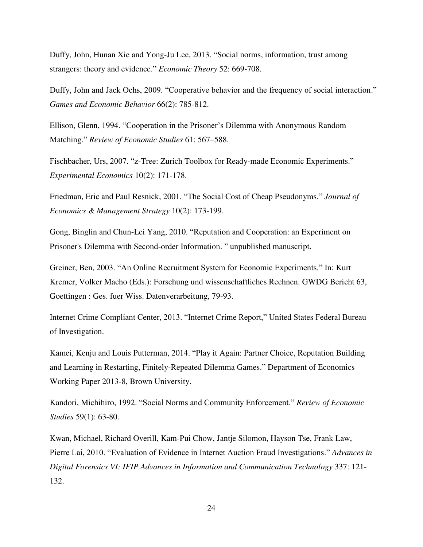Duffy, John, Hunan Xie and Yong-Ju Lee, 2013. "Social norms, information, trust among strangers: theory and evidence." *Economic Theory* 52: 669-708.

Duffy, John and Jack Ochs, 2009. "Cooperative behavior and the frequency of social interaction." *Games and Economic Behavior* 66(2): 785-812.

Ellison, Glenn, 1994. "Cooperation in the Prisoner's Dilemma with Anonymous Random Matching.‖ *Review of Economic Studies* 61: 567–588.

Fischbacher, Urs, 2007. "z-Tree: Zurich Toolbox for Ready-made Economic Experiments." *Experimental Economics* 10(2): 171-178.

Friedman, Eric and Paul Resnick, 2001. "The Social Cost of Cheap Pseudonyms." *Journal of Economics & Management Strategy* 10(2): 173-199.

Gong, Binglin and Chun-Lei Yang, 2010. "Reputation and Cooperation: an Experiment on Prisoner's Dilemma with Second-order Information. " unpublished manuscript.

Greiner, Ben, 2003. "An Online Recruitment System for Economic Experiments." In: Kurt Kremer, Volker Macho (Eds.): Forschung und wissenschaftliches Rechnen. GWDG Bericht 63, Goettingen : Ges. fuer Wiss. Datenverarbeitung, 79-93.

Internet Crime Compliant Center, 2013. "Internet Crime Report," United States Federal Bureau of Investigation.

Kamei, Kenju and Louis Putterman, 2014. "Play it Again: Partner Choice, Reputation Building and Learning in Restarting, Finitely-Repeated Dilemma Games." Department of Economics Working Paper 2013-8, Brown University.

Kandori, Michihiro, 1992. "Social Norms and Community Enforcement." *Review of Economic Studies* 59(1): 63-80.

Kwan, Michael, Richard Overill, Kam-Pui Chow, Jantje Silomon, Hayson Tse, Frank Law, Pierre Lai, 2010. "Evaluation of Evidence in Internet Auction Fraud Investigations." *Advances in [Digital Forensics VI:](http://link.springer.com/book/10.1007/978-3-642-15506-2) [IFIP Advances in Information and Communication Technology](http://link.springer.com/bookseries/6102)* 337: 121- 132.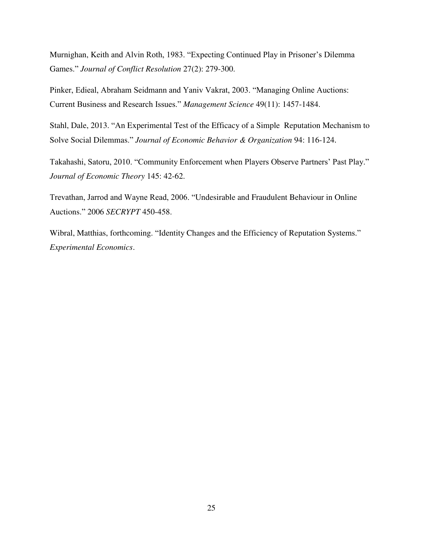Murnighan, Keith and Alvin Roth, 1983. "Expecting Continued Play in Prisoner's Dilemma Games.‖ *Journal of Conflict Resolution* 27(2): 279-300.

Pinker, Edieal, Abraham Seidmann and Yaniv Vakrat, 2003. "Managing Online Auctions: Current Business and Research Issues.‖ *Management Science* 49(11): 1457-1484.

Stahl, Dale, 2013. "An Experimental Test of the Efficacy of a Simple Reputation Mechanism to Solve Social Dilemmas.‖ *Journal of Economic Behavior & Organization* 94: 116-124.

Takahashi, Satoru, 2010. "Community Enforcement when Players Observe Partners' Past Play." *Journal of Economic Theory* 145: 42-62.

Trevathan, Jarrod and Wayne Read, 2006. "Undesirable and Fraudulent Behaviour in Online Auctions.‖ 2006 *SECRYPT* 450-458.

Wibral, Matthias, forthcoming. "Identity Changes and the Efficiency of Reputation Systems." *Experimental Economics*.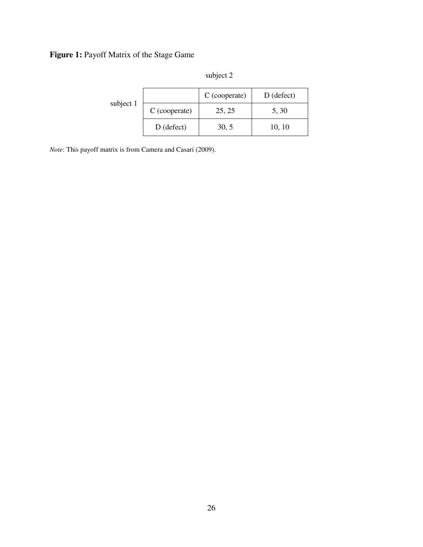# **Figure 1:** Payoff Matrix of the Stage Game

|           |               | subject 2     |              |  |
|-----------|---------------|---------------|--------------|--|
| subject 1 |               | C (cooperate) | $D$ (defect) |  |
|           | C (cooperate) | 25, 25        | 5, 30        |  |
|           | $D$ (defect)  | 30, 5         | 10, 10       |  |

*Note*: This payoff matrix is from Camera and Casari (2009).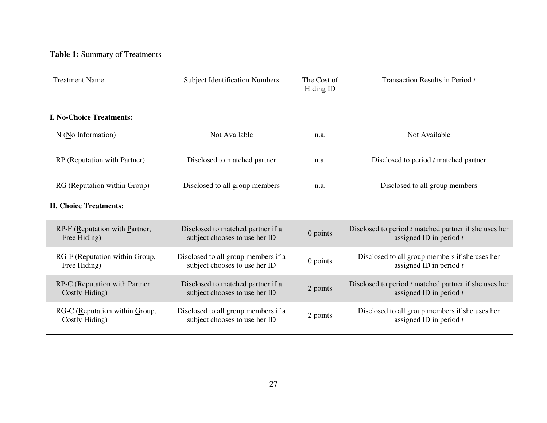# **Table 1:** Summary of Treatments

| <b>Treatment Name</b>                               | <b>Subject Identification Numbers</b>                                |            | Transaction Results in Period t                                                      |  |
|-----------------------------------------------------|----------------------------------------------------------------------|------------|--------------------------------------------------------------------------------------|--|
| <b>I. No-Choice Treatments:</b>                     |                                                                      |            |                                                                                      |  |
| N (No Information)                                  | Not Available                                                        | n.a.       | Not Available                                                                        |  |
| RP (Reputation with Partner)                        | Disclosed to matched partner                                         | n.a.       | Disclosed to period $t$ matched partner                                              |  |
| $RG$ (Reputation within $Group$ )                   | Disclosed to all group members                                       | n.a.       | Disclosed to all group members                                                       |  |
| <b>II. Choice Treatments:</b>                       |                                                                      |            |                                                                                      |  |
| RP-F (Reputation with Partner,<br>Free Hiding)      | Disclosed to matched partner if a<br>subject chooses to use her ID   | 0 points   | Disclosed to period $t$ matched partner if she uses her<br>assigned ID in period $t$ |  |
| RG-F (Reputation within Group,<br>Free Hiding)      | Disclosed to all group members if a<br>subject chooses to use her ID | $0$ points | Disclosed to all group members if she uses her<br>assigned ID in period $t$          |  |
| RP-C (Reputation with Partner,<br>Costly Hiding)    | Disclosed to matched partner if a<br>subject chooses to use her ID   | 2 points   | Disclosed to period $t$ matched partner if she uses her<br>assigned ID in period $t$ |  |
| RG-C (Reputation within $G$ roup,<br>Costly Hiding) | Disclosed to all group members if a<br>subject chooses to use her ID | 2 points   | Disclosed to all group members if she uses her<br>assigned ID in period $t$          |  |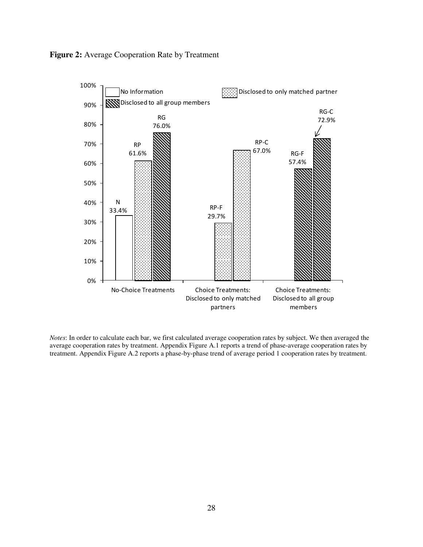



*Notes*: In order to calculate each bar, we first calculated average cooperation rates by subject. We then averaged the average cooperation rates by treatment. Appendix Figure A.1 reports a trend of phase-average cooperation rates by treatment. Appendix Figure A.2 reports a phase-by-phase trend of average period 1 cooperation rates by treatment.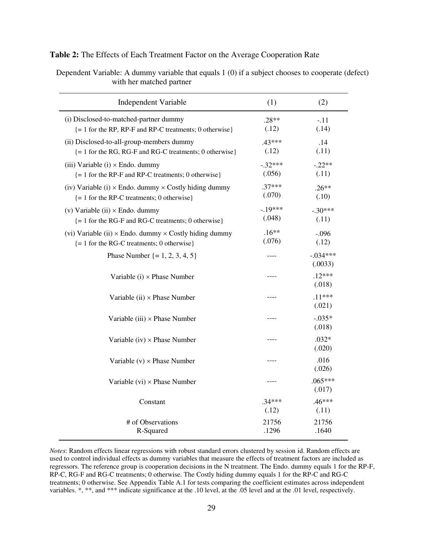| Table 2: The Effects of Each Treatment Factor on the Average Cooperation Rate |  |  |
|-------------------------------------------------------------------------------|--|--|
|-------------------------------------------------------------------------------|--|--|

Dependent Variable: A dummy variable that equals 1 (0) if a subject chooses to cooperate (defect) with her matched partner

| <b>Independent Variable</b>                                                                                                | (1)                 | (2)                   |
|----------------------------------------------------------------------------------------------------------------------------|---------------------|-----------------------|
| (i) Disclosed-to-matched-partner dummy<br>$= 1$ for the RP, RP-F and RP-C treatments; 0 otherwise}                         | $.28**$<br>(.12)    | $-.11$<br>(.14)       |
| (ii) Disclosed-to-all-group-members dummy<br>$\{ = 1$ for the RG, RG-F and RG-C treatments; 0 otherwise $\}$               | $.43***$<br>(.12)   | .14<br>(.11)          |
| (iii) Variable (i) $\times$ Endo. dummy<br>$= 1$ for the RP-F and RP-C treatments; 0 otherwise }                           | $-.32***$<br>(.056) | $-.22**$<br>(.11)     |
| (iv) Variable (i) $\times$ Endo. dummy $\times$ Costly hiding dummy<br>$\{ = 1$ for the RP-C treatments; 0 otherwise $\}$  | $.37***$<br>(.070)  | $.26**$<br>(.10)      |
| (v) Variable (ii) $\times$ Endo. dummy<br>$\{ = 1$ for the RG-F and RG-C treatments; 0 otherwise }                         | $-.19***$<br>(.048) | $-.30***$<br>(.11)    |
| (vi) Variable (ii) $\times$ Endo. dummy $\times$ Costly hiding dummy<br>$\{ = 1$ for the RG-C treatments; 0 otherwise $\}$ | $.16**$<br>(.076)   | $-.096$<br>(.12)      |
| Phase Number $\{ = 1, 2, 3, 4, 5 \}$                                                                                       | ----                | $-.034***$<br>(.0033) |
| Variable $(i) \times$ Phase Number                                                                                         |                     | $.12***$<br>(.018)    |
| Variable (ii) $\times$ Phase Number                                                                                        | ----                | $.11***$<br>(.021)    |
| Variable (iii) $\times$ Phase Number                                                                                       |                     | $-.035*$<br>(.018)    |
| Variable (iv) $\times$ Phase Number                                                                                        |                     | $.032*$<br>(.020)     |
| Variable $(v) \times$ Phase Number                                                                                         | ----                | .016<br>(.026)        |
| Variable $(vi) \times$ Phase Number                                                                                        | ----                | $.065***$<br>(.017)   |
| Constant                                                                                                                   | $.34***$<br>(.12)   | $.46***$<br>(.11)     |
| # of Observations<br>R-Squared                                                                                             | 21756<br>.1296      | 21756<br>.1640        |

*Notes*: Random effects linear regressions with robust standard errors clustered by session id. Random effects are used to control individual effects as dummy variables that measure the effects of treatment factors are included as regressors. The reference group is cooperation decisions in the N treatment. The Endo. dummy equals 1 for the RP-F, RP-C, RG-F and RG-C treatments; 0 otherwise. The Costly hiding dummy equals 1 for the RP-C and RG-C treatments; 0 otherwise. See Appendix Table A.1 for tests comparing the coefficient estimates across independent variables. \*, \*\*, and \*\*\* indicate significance at the .10 level, at the .05 level and at the .01 level, respectively.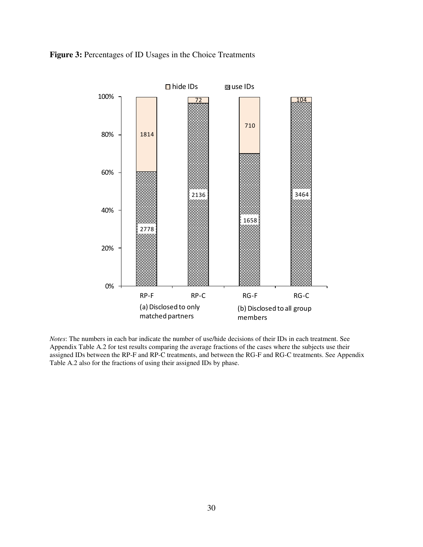### **Figure 3:** Percentages of ID Usages in the Choice Treatments



*Notes*: The numbers in each bar indicate the number of use/hide decisions of their IDs in each treatment. See Appendix Table A.2 for test results comparing the average fractions of the cases where the subjects use their assigned IDs between the RP-F and RP-C treatments, and between the RG-F and RG-C treatments. See Appendix Table A.2 also for the fractions of using their assigned IDs by phase.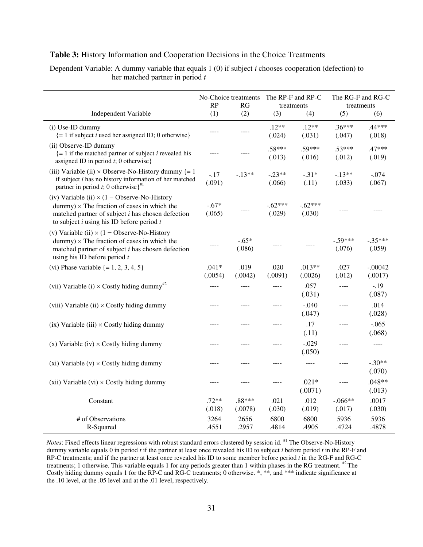|                                                                                                                                                                                                                      | No-Choice treatments<br>RP<br>RG |                   | The RP-F and RP-C<br>treatments |                     | The RG-F and RG-C<br>treatments |                      |
|----------------------------------------------------------------------------------------------------------------------------------------------------------------------------------------------------------------------|----------------------------------|-------------------|---------------------------------|---------------------|---------------------------------|----------------------|
| Independent Variable                                                                                                                                                                                                 | (1)                              | (2)               | (3)                             | (4)                 | (5)                             | (6)                  |
| (i) Use-ID dummy<br>$\{ = 1$ if subject <i>i</i> used her assigned ID; 0 otherwise }                                                                                                                                 | ----                             |                   | $.12**$<br>(.024)               | $.12**$<br>(.031)   | $.36***$<br>(.047)              | .44***<br>(.018)     |
| (ii) Observe-ID dummy<br>$\left\{ = 1 \right.$ if the matched partner of subject <i>i</i> revealed his<br>assigned ID in period $t$ ; 0 otherwise}                                                                   | ----                             |                   | $.58***$<br>(.013)              | .59***<br>(.016)    | $.53***$<br>(.012)              | $.47***$<br>(.019)   |
| (iii) Variable (ii) $\times$ Observe-No-History dummy {= 1<br>if subject $i$ has no history information of her matched<br>partner in period t; 0 otherwise $\}^{\#1}$                                                | $-.17$<br>(.091)                 | $-13**$           | $-.23**$<br>(.066)              | $-.31*$<br>(.11)    | $-.13**$<br>(.033)              | $-.074$<br>(.067)    |
| (iv) Variable (ii) $\times$ (1 - Observe-No-History<br>$d$ ummy) $\times$ The fraction of cases in which the<br>matched partner of subject $i$ has chosen defection<br>to subject $i$ using his ID before period $t$ | $-.67*$<br>(.065)                |                   | $-.62***$<br>(.029)             | $-.62***$<br>(.030) |                                 |                      |
| (v) Variable (ii) $\times$ (1 – Observe-No-History<br>$d$ ummy) $\times$ The fraction of cases in which the<br>matched partner of subject $i$ has chosen defection<br>using his ID before period $t$                 |                                  | $-.65*$<br>(.086) |                                 |                     | $-.59***$<br>(.076)             | $-.35***$<br>(.059)  |
| (vi) Phase variable $\{ = 1, 2, 3, 4, 5 \}$                                                                                                                                                                          | $.041*$<br>(.0054)               | .019<br>(.0042)   | .020<br>(.0091)                 | $.013**$<br>(.0026) | .027<br>(.012)                  | $-.00042$<br>(.0017) |
| (vii) Variable (i) $\times$ Costly hiding dummy <sup>#2</sup>                                                                                                                                                        | $---$                            | $- - - -$         | $--- -$                         | .057<br>(.031)      | $---$                           | $-.19$<br>(.087)     |
| (viii) Variable (ii) $\times$ Costly hiding dummy                                                                                                                                                                    | ----                             | ----              | ----                            | $-.040$<br>(.047)   | $---$                           | .014<br>(.028)       |
| $(ix)$ Variable $(iii) \times Costly$ hiding dummy                                                                                                                                                                   |                                  |                   | ----                            | .17<br>(.11)        | ----                            | $-.065$<br>(.068)    |
| $(x)$ Variable (iv) $\times$ Costly hiding dummy                                                                                                                                                                     | ----                             | ----              | ----                            | $-.029$<br>(.050)   | ----                            | $- - - -$            |
| $(xi)$ Variable $(v) \times$ Costly hiding dummy                                                                                                                                                                     | $- - - -$                        | ----              | ----                            | $---$               | $---$                           | $-.30**$<br>(.070)   |
| $(xii)$ Variable $(vi) \times Costly$ hiding dummy                                                                                                                                                                   | $- - - -$                        | ----              | ----                            | $.021*$<br>(.0071)  | $---$                           | $.048**$<br>(.013)   |
| Constant                                                                                                                                                                                                             | $.72**$<br>(.018)                | .88***<br>(.0078) | .021<br>(.030)                  | .012<br>(.019)      | $-.066**$<br>(.017)             | .0017<br>(.030)      |
| # of Observations<br>R-Squared                                                                                                                                                                                       | 3264<br>.4551                    | 2656<br>.2957     | 6800<br>.4814                   | 6800<br>.4905       | 5936<br>.4724                   | 5936<br>.4878        |

#### **Table 3:** History Information and Cooperation Decisions in the Choice Treatments

Dependent Variable: A dummy variable that equals 1 (0) if subject *i* chooses cooperation (defection) to her matched partner in period *t* 

*Notes*: Fixed effects linear regressions with robust standard errors clustered by session id. #1 The Observe-No-History dummy variable equals 0 in period *t* if the partner at least once revealed his ID to subject *i* before period *t* in the RP-F and RP-C treatments; and if the partner at least once revealed his ID to some member before period *t* in the RG-F and RG-C treatments; 1 otherwise. This variable equals 1 for any periods greater than 1 within phases in the RG treatment. <sup>#2</sup> The Costly hiding dummy equals 1 for the RP-C and RG-C treatments; 0 otherwise. \*, \*\*, and \*\*\* indicate significance at the .10 level, at the .05 level and at the .01 level, respectively.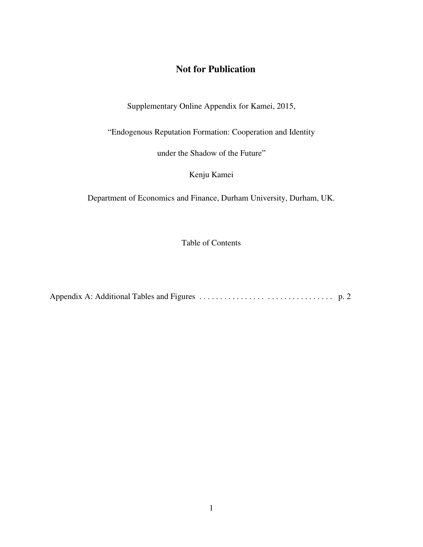### **Not for Publication**

Supplementary Online Appendix for Kamei, 2015,

―Endogenous Reputation Formation: Cooperation and Identity

under the Shadow of the Future"

Kenju Kamei

Department of Economics and Finance, Durham University, Durham, UK.

Table of Contents

Appendix A: Additional Tables and Figures . . . . . . . . . . . . . . . . . . . . . . . . . . . . . . . . p. 2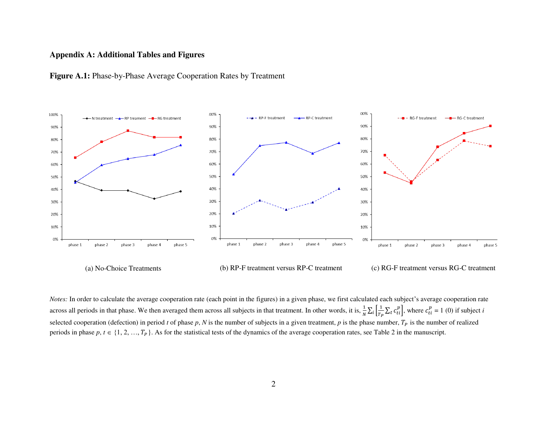#### **Appendix A: Additional Tables and Figures**





(a) No-Choice Treatments (b) RP-F treatment versus RP-C treatment (c) RG-F treatment versus RG-C treatment

*Notes:* In order to calculate the average cooperation rate (each point in the figures) in a given phase, we first calculated each subject's average cooperation rate across all periods in that phase. We then averaged them across all subjects in that treatment. In other words, it is,  $\frac{1}{N} \sum_i \left[ \frac{1}{T_I} \right]$  $\int_{i}^{1} \left[ \frac{1}{T_{P}} \sum_{t} c_{ti}^{p} \right]$ , where  $c_{ti}^{p} = 1$  (0) if subject *i* selected cooperation (defection) in period *t* of phase *p*, *N* is the number of subjects in a given treatment, *p* is the phase number,  $T_p$  is the number of realized periods in phase  $p, t \in \{1, 2, ..., T_p\}$ . As for the statistical tests of the dynamics of the average cooperation rates, see Table 2 in the manuscript.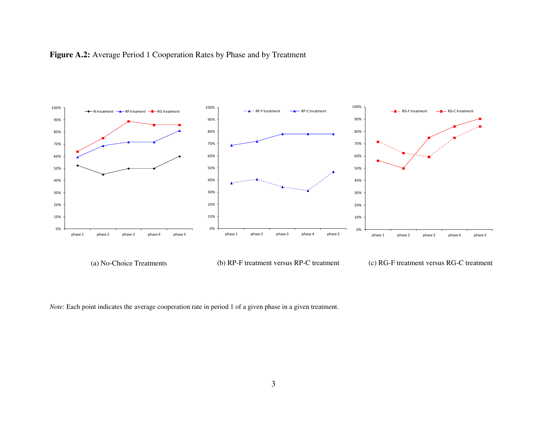



*Note*: Each point indicates the average cooperation rate in period 1 of a given phase in a given treatment.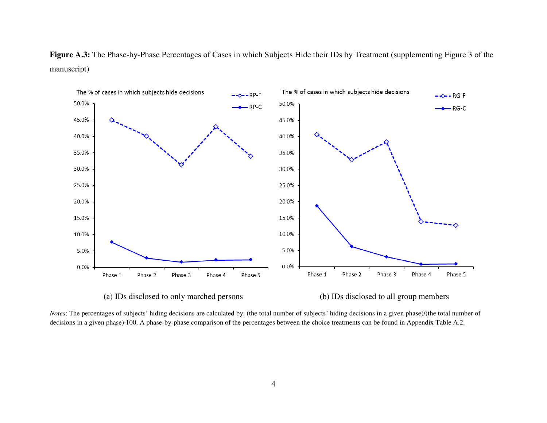Figure A.3: The Phase-by-Phase Percentages of Cases in which Subjects Hide their IDs by Treatment (supplementing Figure 3 of the manuscript)



(a) IDs disclosed to only marched persons (b) IDs disclosed to all group members

*Notes*: The percentages of subjects' hiding decisions are calculated by: (the total number of subjects' hiding decisions in a given phase)/(the total number of decisions in a given phase)∙100. A phase-by-phase comparison of the percentages between the choice treatments can be found in Appendix Table A.2.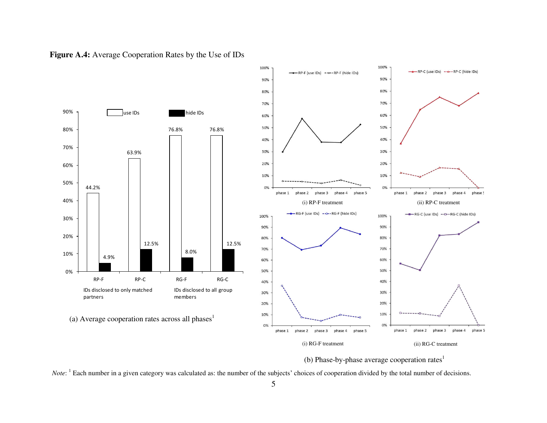

**Figure A.4:** Average Cooperation Rates by the Use of IDs



*Note*: <sup>1</sup> Each number in a given category was calculated as: the number of the subjects' choices of cooperation divided by the total number of decisions.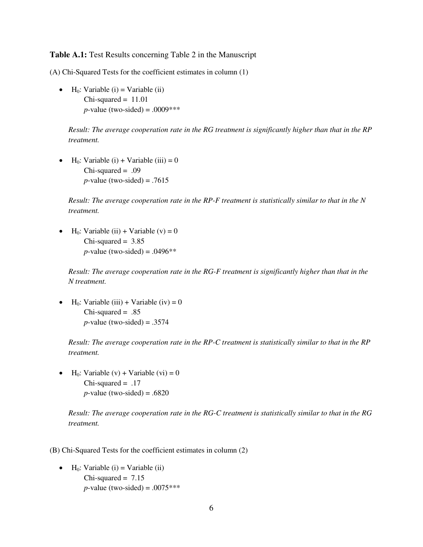#### **Table A.1:** Test Results concerning Table 2 in the Manuscript

(A) Chi-Squared Tests for the coefficient estimates in column (1)

 $\bullet$  H<sub>0</sub>: Variable (i) = Variable (ii)  $Chi-squared = 11.01$ *p*-value (two-sided) = .0009\*\*\*

*Result: The average cooperation rate in the RG treatment is significantly higher than that in the RP treatment.* 

 $\bullet$  H<sub>0</sub>: Variable (i) + Variable (iii) = 0  $Chi$ -squared = .09  $p$ -value (two-sided) = .7615

*Result: The average cooperation rate in the RP-F treatment is statistically similar to that in the N treatment.* 

 $\bullet$  H<sub>0</sub>: Variable (ii) + Variable (v) = 0  $Chi-squared = 3.85$ *p*-value (two-sided) =  $.0496**$ 

*Result: The average cooperation rate in the RG-F treatment is significantly higher than that in the N treatment.* 

 $\bullet$  H<sub>0</sub>: Variable (iii) + Variable (iv) = 0  $Chi$ -squared = .85  $p$ -value (two-sided) = .3574

*Result: The average cooperation rate in the RP-C treatment is statistically similar to that in the RP treatment.* 

 $\bullet$  H<sub>0</sub>: Variable (v) + Variable (vi) = 0  $Chi$ -squared = .17  $p$ -value (two-sided) = .6820

*Result: The average cooperation rate in the RG-C treatment is statistically similar to that in the RG treatment.* 

(B) Chi-Squared Tests for the coefficient estimates in column (2)

 $\bullet$  H<sub>0</sub>: Variable (i) = Variable (ii) Chi-squared  $= 7.15$ *p*-value (two-sided) =  $.0075***$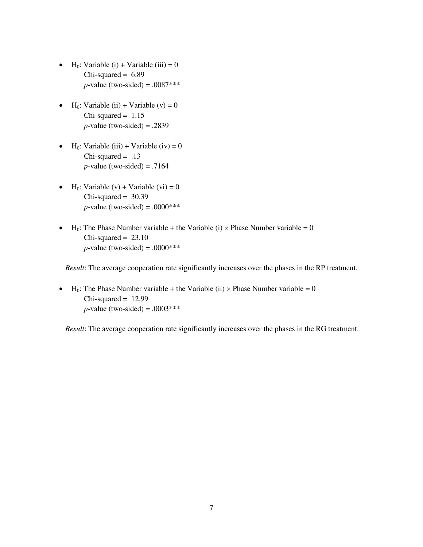- $\bullet$  H<sub>0</sub>: Variable (i) + Variable (iii) = 0  $Chi$ -squared = 6.89 *p*-value (two-sided) = .0087\*\*\*
- $\bullet$  H<sub>0</sub>: Variable (ii) + Variable (v) = 0  $Chi-squared = 1.15$  $p$ -value (two-sided) = .2839
- $\bullet$  H<sub>0</sub>: Variable (iii) + Variable (iv) = 0  $Chi$ -squared = .13  $p$ -value (two-sided) = .7164
- $\bullet$  H<sub>0</sub>: Variable (v) + Variable (vi) = 0  $Chi-squared = 30.39$ *p*-value (two-sided) = .0000\*\*\*
- $H_0$ : The Phase Number variable + the Variable (i)  $\times$  Phase Number variable = 0  $Chi-squared = 23.10$ *p*-value (two-sided) =  $.0000***$

*Result*: The average cooperation rate significantly increases over the phases in the RP treatment.

 $H_0$ : The Phase Number variable + the Variable (ii)  $\times$  Phase Number variable = 0  $Chi-squared = 12.99$ *p*-value (two-sided) = .0003\*\*\*

*Result*: The average cooperation rate significantly increases over the phases in the RG treatment.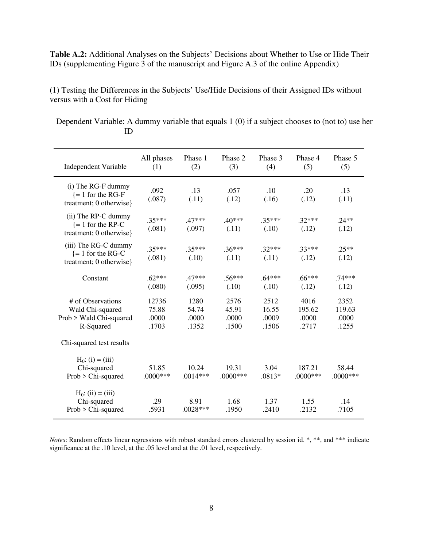**Table A.2:** Additional Analyses on the Subjects' Decisions about Whether to Use or Hide Their IDs (supplementing Figure 3 of the manuscript and Figure A.3 of the online Appendix)

(1) Testing the Differences in the Subjects' Use/Hide Decisions of their Assigned IDs without versus with a Cost for Hiding

Dependent Variable: A dummy variable that equals 1 (0) if a subject chooses to (not to) use her ID

| <b>Independent Variable</b>                                                   | All phases<br>(1)                | Phase 1<br>(2)                  | Phase 2<br>(3)                  | Phase 3<br>(4)                  | Phase 4<br>(5)                   | Phase 5<br>(5)                   |
|-------------------------------------------------------------------------------|----------------------------------|---------------------------------|---------------------------------|---------------------------------|----------------------------------|----------------------------------|
| (i) The RG-F dummy<br>$= 1$ for the RG-F<br>treatment; 0 otherwise}           | .092<br>(.087)                   | .13<br>(.11)                    | .057<br>(.12)                   | .10<br>(.16)                    | .20<br>(.12)                     | .13<br>(.11)                     |
| (ii) The RP-C dummy<br>$= 1$ for the RP-C<br>treatment; 0 otherwise}          | $.35***$<br>(.081)               | $47***$<br>(.097)               | $.40***$<br>(.11)               | $.35***$<br>(.10)               | $.32***$<br>(.12)                | $.24**$<br>(.12)                 |
| (iii) The RG-C dummy<br>$= 1$ for the RG-C<br>treatment; 0 otherwise}         | $.35***$<br>(.081)               | $.35***$<br>(.10)               | $.36***$<br>(.11)               | $.32***$<br>(.11)               | $.33***$<br>(.12)                | $.25**$<br>(.12)                 |
| Constant                                                                      | $.62***$<br>(.080)               | $.47***$<br>(.095)              | $.56***$<br>(.10)               | $.64***$<br>(.10)               | $.66***$<br>(.12)                | $.74***$<br>(.12)                |
| # of Observations<br>Wald Chi-squared<br>Prob > Wald Chi-squared<br>R-Squared | 12736<br>75.88<br>.0000<br>.1703 | 1280<br>54.74<br>.0000<br>.1352 | 2576<br>45.91<br>.0000<br>.1500 | 2512<br>16.55<br>.0009<br>.1506 | 4016<br>195.62<br>.0000<br>.2717 | 2352<br>119.63<br>.0000<br>.1255 |
| Chi-squared test results                                                      |                                  |                                 |                                 |                                 |                                  |                                  |
| $H_0$ : (i) = (iii)<br>Chi-squared<br>Prob > Chi-squared                      | 51.85<br>.0000***                | 10.24<br>$.0014***$             | 19.31<br>$.0000***$             | 3.04<br>.0813*                  | 187.21<br>$.0000$ ***            | 58.44<br>$.0000$ ***             |
| $H_0$ : (ii) = (iii)<br>Chi-squared<br>Prob > Chi-squared                     | .29<br>.5931                     | 8.91<br>$.0028***$              | 1.68<br>.1950                   | 1.37<br>.2410                   | 1.55<br>.2132                    | .14<br>.7105                     |

*Notes*: Random effects linear regressions with robust standard errors clustered by session id. \*, \*\*, and \*\*\* indicate significance at the .10 level, at the .05 level and at the .01 level, respectively.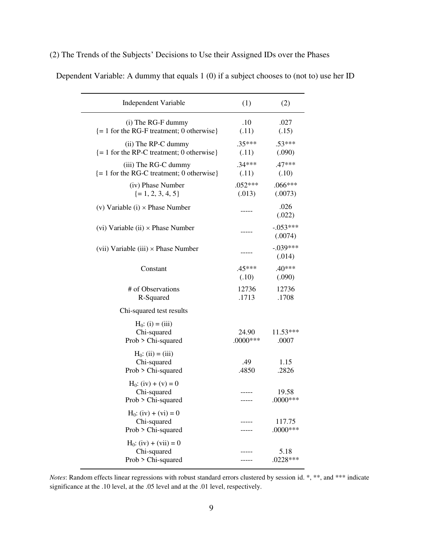### (2) The Trends of the Subjects' Decisions to Use their Assigned IDs over the Phases

| Independent Variable                                                                       | (1)                  | (2)                   |
|--------------------------------------------------------------------------------------------|----------------------|-----------------------|
| (i) The RG-F dummy<br>$\left\{ = 1 \text{ for the RG-F treatment} \right\}$ (0 otherwise)  | .10<br>(.11)         | .027<br>(.15)         |
| (ii) The RP-C dummy<br>$\left\{ = 1 \text{ for the RP-C treatment} \right\}$ (0 otherwise) | $.35***$<br>(.11)    | $.53***$<br>(.090)    |
| (iii) The RG-C dummy<br>$\{ = 1$ for the RG-C treatment; 0 otherwise $\}$                  | $.34***$<br>(.11)    | $.47***$<br>(.10)     |
| (iv) Phase Number<br>$\{ = 1, 2, 3, 4, 5 \}$                                               | $.052***$<br>(.013)  | $.066***$<br>(.0073)  |
| (v) Variable (i) $\times$ Phase Number                                                     |                      | .026<br>(.022)        |
| (vi) Variable (ii) $\times$ Phase Number                                                   | -----                | $-.053***$<br>(.0074) |
| (vii) Variable (iii) $\times$ Phase Number                                                 |                      | $-.039***$<br>(.014)  |
| Constant                                                                                   | $.45***$<br>(.10)    | $.40***$<br>(.090)    |
| # of Observations<br>R-Squared                                                             | 12736<br>.1713       | 12736<br>.1708        |
| Chi-squared test results                                                                   |                      |                       |
| $H_0$ : (i) = (iii)<br>Chi-squared<br>Prob > Chi-squared                                   | 24.90<br>$.0000$ *** | $11.53***$<br>.0007   |
| $H_0$ : (ii) = (iii)<br>Chi-squared<br>Prob > Chi-squared                                  | .49<br>.4850         | 1.15<br>.2826         |
| $H_0$ : (iv) + (v) = 0<br>Chi-squared<br>Prob > Chi-squared                                |                      | 19.58<br>$.0000$ ***  |
| $H_0$ : (iv) + (vi) = 0<br>Chi-squared<br>Prob > Chi-squared                               |                      | 117.75<br>$.0000$ *** |
| $H_0$ : (iv) + (vii) = 0<br>Chi-squared<br>Prob > Chi-squared                              |                      | 5.18<br>$.0228***$    |

Dependent Variable: A dummy that equals 1 (0) if a subject chooses to (not to) use her ID

*Notes*: Random effects linear regressions with robust standard errors clustered by session id. \*, \*\*, and \*\*\* indicate significance at the .10 level, at the .05 level and at the .01 level, respectively.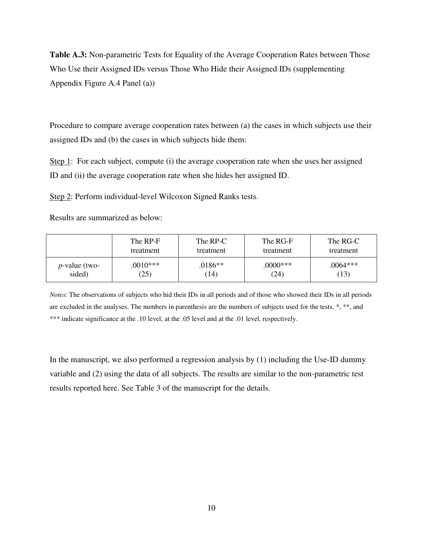**Table A.3:** Non-parametric Tests for Equality of the Average Cooperation Rates between Those Who Use their Assigned IDs versus Those Who Hide their Assigned IDs (supplementing Appendix Figure A.4 Panel (a))

Procedure to compare average cooperation rates between (a) the cases in which subjects use their assigned IDs and (b) the cases in which subjects hide them:

Step 1: For each subject, compute (i) the average cooperation rate when she uses her assigned ID and (ii) the average cooperation rate when she hides her assigned ID.

Step 2: Perform individual-level Wilcoxon Signed Ranks tests.

Results are summarized as below:

|                  | The RP-F   | The RP-C  | The RG-F  | The RG-C   |
|------------------|------------|-----------|-----------|------------|
|                  | treatment  | treatment | treatment | treatment  |
| $p$ -value (two- | $.0010***$ | .0186**   | $0000***$ | $.0064***$ |
| sided)           | (25)       | (14)      | (24)      | (13)       |

*Notes*: The observations of subjects who hid their IDs in all periods and of those who showed their IDs in all periods are excluded in the analyses. The numbers in parenthesis are the numbers of subjects used for the tests. \*, \*\*, and \*\*\* indicate significance at the .10 level, at the .05 level and at the .01 level, respectively.

In the manuscript, we also performed a regression analysis by (1) including the Use-ID dummy variable and (2) using the data of all subjects. The results are similar to the non-parametric test results reported here. See Table 3 of the manuscript for the details.